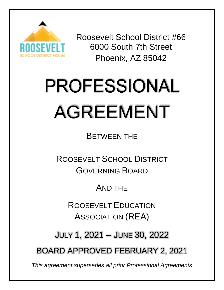

Roosevelt School District #66 6000 South 7th Street Phoenix, AZ 85042

# **PROFESSIONAL** AGREEMENT

BETWEEN THE

ROOSEVELT SCHOOL DISTRICT GOVERNING BOARD

AND THE

ROOSEVELT EDUCATION ASSOCIATION (REA)

JULY 1, 2021 – JUNE 30, 2022

BOARD APPROVED FEBRUARY 2, 2021

*This agreement supersedes all prior Professional Agreements*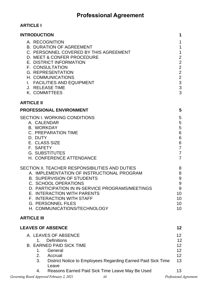# **Professional Agreement**

# **ARTICLE I**

| <b>INTRODUCTION</b>                                                                                                                                                                                                                                                                                                                     | 1                                                                                                                         |
|-----------------------------------------------------------------------------------------------------------------------------------------------------------------------------------------------------------------------------------------------------------------------------------------------------------------------------------------|---------------------------------------------------------------------------------------------------------------------------|
| A. RECOGNITION<br><b>B. DURATION OF AGREEMENT</b><br>C. PERSONNEL COVERED BY THIS AGREEMENT<br>D. MEET & CONFER PROCEDURE<br>E. DISTRICT INFORMATION<br>F. CONSULTATION<br><b>G. REPRESENTATION</b><br>H. COMMUNICATIONS<br>I. FACILITIES AND EQUIPMENT<br>J. RELEASE TIME<br>K. COMMITTEES                                             | $\mathbf{1}$<br>$\mathbf{1}$<br>$\mathbf 1$<br>$\begin{array}{c} 2 \\ 2 \\ 2 \end{array}$<br>$\frac{2}{2}$<br>3<br>3<br>3 |
| <b>ARTICLE II</b>                                                                                                                                                                                                                                                                                                                       |                                                                                                                           |
| <b>PROFESSIONAL ENVIRONMENT</b>                                                                                                                                                                                                                                                                                                         | 5                                                                                                                         |
| SECTION I. WORKING CONDITIONS<br>A. CALENDAR<br><b>B. WORKDAY</b><br><b>C. PREPARATION TIME</b><br>D. DUTY<br>E. CLASS SIZE<br>F. SAFETY<br><b>G. SUBSTITUTES</b><br>H. CONFERENCE ATTENDANCE                                                                                                                                           | 5<br>$\sqrt{5}$<br>$\mathbf 5$<br>$\,6$<br>$\,6\,$<br>$\,6\,$<br>$\overline{7}$<br>$\overline{7}$<br>$\overline{7}$       |
| SECTION II. TEACHER RESPONSIBILITIES AND DUTIES<br>A. IMPLEMENTATION OF INSTRUCTIONAL PROGRAM<br><b>B. SUPERVISION OF STUDENTS</b><br>C. SCHOOL OPERATIONS<br>D. PARTICIPATION IN IN-SERVICE PROGRAMS/MEETINGS<br>E. INTERACTION WITH PARENTS<br>F. INTERACTION WITH STAFF<br><b>G. PERSONNEL FILES</b><br>H. COMMUNICATIONS/TECHNOLOGY | 8<br>8<br>$\boldsymbol{9}$<br>$\overline{9}$<br>9<br>10<br>10<br>10<br>10                                                 |
| <b>ARTICLE III</b>                                                                                                                                                                                                                                                                                                                      |                                                                                                                           |
| <b>LEAVES OF ABSENCE</b>                                                                                                                                                                                                                                                                                                                | 12                                                                                                                        |
| A. LEAVES OF ABSENCE<br><b>Definitions</b><br>1.<br><b>B. EARNED PAID SICK TIME</b><br>General<br>1.<br>2. Accrual<br>3.<br>District Notice to Employees Regarding Earned Paid Sick Time<br>Leave<br>Reasons Earned Paid Sick Time Leave May Be Used<br>4.                                                                              | 12 <sub>2</sub><br>12<br>12<br>12<br>12<br>13<br>13                                                                       |
|                                                                                                                                                                                                                                                                                                                                         |                                                                                                                           |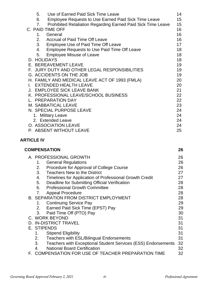| Use of Earned Paid Sick Time Leave<br>5.                           | 14 |
|--------------------------------------------------------------------|----|
| Employee Requests to Use Earned Paid Sick Time Leave<br>6.         | 15 |
| Prohibited Retaliation Regarding Earned Paid Sick Time Leave<br>7. | 15 |
| C. PAID TIME OFF                                                   | 16 |
| General<br>1.                                                      | 16 |
| Accrual of Paid Time Off Leave<br>2.                               | 16 |
| 3.<br><b>Employee Use of Paid Time Off Leave</b>                   | 17 |
| <b>Employee Requests to Use Paid Time Off Leave</b><br>4.          | 18 |
| <b>Employee Misuse of Leave</b><br>5.                              | 18 |
| D. HOLIDAYS                                                        | 18 |
| E. BEREAVEMENT LEAVE                                               | 19 |
| F. JURY DUTY AND OTHER LEGAL RESPONSIBILITIES                      | 19 |
| <b>G. ACCIDENTS ON THE JOB</b>                                     | 19 |
| H. FAMILY AND MEDICAL LEAVE ACT OF 1993 (FMLA)                     | 20 |
| <b>EXTENDED HEALTH LEAVE</b>                                       | 20 |
| J. EMPLOYEE SICK LEAVE BANK                                        | 21 |
| K. PROFESSIONAL LEAVE/SCHOOL BUSINESS                              | 22 |
| <b>PREPARATION DAY</b>                                             | 22 |
| M. SABBATICAL LEAVE                                                | 23 |
| N. SPECIAL PURPOSE LEAVE                                           | 24 |
| 1. Military Leave                                                  | 24 |
| 2. Extended Leave                                                  | 24 |
| O. ASSOCIATION LEAVE                                               | 24 |
| P. ABSENT WITHOUT LEAVE                                            | 25 |

# **ARTICLE IV**

| <b>COMPENSATION</b>                                                 | 26 |
|---------------------------------------------------------------------|----|
| A. PROFESSIONAL GROWTH                                              | 26 |
| <b>General Regulations</b><br>1.                                    | 26 |
| Procedure for Approval of College Course<br>2.                      | 26 |
| 3.<br><b>Teachers New to the District</b>                           | 27 |
| Timelines for Application of Professional Growth Credit<br>4.       | 27 |
| Deadline for Submitting Official Verification<br>5.                 | 28 |
| <b>Professional Growth Committee</b><br>6.                          | 28 |
| <b>Appeal Procedure</b><br>7.                                       | 28 |
| <b>B. SEPARATION FROM DISTRICT EMPLOYMENT</b>                       | 28 |
| <b>Continuing Service Pay</b><br>1.                                 | 29 |
| Earned Paid Sick Time (EPST) Pay<br>2.                              | 29 |
| Paid Time Off (PTO) Pay<br>3.                                       | 30 |
| C. WORK BEYOND                                                      | 31 |
| <b>D. IN-DISTRICT TRAVEL</b>                                        | 31 |
| E. STIPENDS                                                         | 31 |
| <b>Stipend Eligibility</b><br>1.                                    | 31 |
| 2.<br>Teachers with ESL/Bilingual Endorsements                      | 31 |
| 3.<br>Teachers with Exceptional Student Services (ESS) Endorsements | 32 |
| <b>National Board Certification</b><br>4.                           | 32 |
| F. COMPENSATION FOR USE OF TEACHER PREPARATION TIME                 | 32 |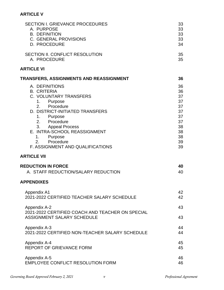#### **ARTICLE V**

| <b>SECTION I. GRIEVANCE PROCEDURES</b>                                                                                                                                                                                                                                                                    | 33                                                                         |
|-----------------------------------------------------------------------------------------------------------------------------------------------------------------------------------------------------------------------------------------------------------------------------------------------------------|----------------------------------------------------------------------------|
| A. PURPOSE                                                                                                                                                                                                                                                                                                | 33                                                                         |
| <b>B. DEFINITION</b>                                                                                                                                                                                                                                                                                      | 33                                                                         |
| C. GENERAL PROVISIONS                                                                                                                                                                                                                                                                                     | 33                                                                         |
| <b>D. PROCEDURE</b>                                                                                                                                                                                                                                                                                       | 34                                                                         |
| SECTION II. CONFLICT RESOLUTION                                                                                                                                                                                                                                                                           | 35                                                                         |
| A. PROCEDURE                                                                                                                                                                                                                                                                                              | 35                                                                         |
| <b>ARTICLE VI</b>                                                                                                                                                                                                                                                                                         |                                                                            |
| TRANSFERS, ASSIGNMENTS AND REASSIGNMENT                                                                                                                                                                                                                                                                   | 36                                                                         |
| A. DEFINITIONS<br><b>B. CRITERIA</b><br>C. VOLUNTARY TRANSFERS<br>Purpose<br>1.<br>2. Procedure<br>D. DISTRICT-INITIATED TRANSFERS<br>Purpose<br>1.<br>2. Procedure<br>3. Appeal Process<br>E. INTRA-SCHOOL REASSIGNMENT<br>Purpose<br>1.<br>Procedure<br>$2^{\circ}$<br>F. ASSIGNMENT AND QUALIFICATIONS | 36<br>36<br>37<br>37<br>37<br>37<br>37<br>37<br>38<br>38<br>38<br>39<br>39 |
| <b>ARTICLE VII</b>                                                                                                                                                                                                                                                                                        |                                                                            |
| <b>REDUCTION IN FORCE</b>                                                                                                                                                                                                                                                                                 | 40                                                                         |
| A. STAFF REDUCTION/SALARY REDUCTION                                                                                                                                                                                                                                                                       | 40                                                                         |
| <b>APPENDIXES</b>                                                                                                                                                                                                                                                                                         |                                                                            |
| <b>Appendix A1</b>                                                                                                                                                                                                                                                                                        | 42                                                                         |
| 2021-2022 CERTIFIED TEACHER SALARY SCHEDULE                                                                                                                                                                                                                                                               | 42                                                                         |
| Appendix A-2<br>2021-2022 CERTIFIED COACH AND TEACHER ON SPECIAL<br><b>ASSIGNMENT SALARY SCHEDULE</b>                                                                                                                                                                                                     | 43<br>43                                                                   |
| Appendix A-3                                                                                                                                                                                                                                                                                              | 44                                                                         |
| 2021-2022 CERTIFIED NON-TEACHER SALARY SCHEDULE                                                                                                                                                                                                                                                           | 44                                                                         |
| Appendix A-4                                                                                                                                                                                                                                                                                              | 45                                                                         |
| <b>REPORT OF GRIEVANCE FORM</b>                                                                                                                                                                                                                                                                           | 45                                                                         |
| Appendix A-5                                                                                                                                                                                                                                                                                              | 46                                                                         |
| <b>EMPLOYEE CONFLICT RESOLUTION FORM</b>                                                                                                                                                                                                                                                                  | 46                                                                         |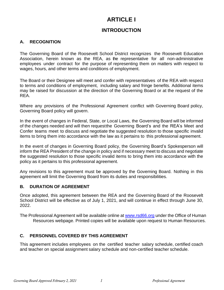# **ARTICLE I**

# **INTRODUCTION**

# **A. RECOGNITION**

The Governing Board of the Roosevelt School District recognizes the Roosevelt Education Association, herein known as the REA, as the representative for all non-administrative employees under contract for the purpose of representing them on matters with respect to wages, hours, and other terms and conditions of employment.

The Board or their Designee will meet and confer with representatives of the REA with respect to terms and conditions of employment, including salary and fringe benefits. Additional items may be raised for discussion at the direction of the Governing Board or at the request of the REA.

Where any provisions of the Professional Agreement conflict with Governing Board policy, Governing Board policy will govern.

In the event of changes in Federal, State, or Local Laws, the Governing Board will be informed of the changes needed and will then requestthe Governing Board's and the REA's Meet and Confer teams meet to discuss and negotiate the suggested resolution to those specific invalid items to bring them into accordance with the law as it pertains to this professional agreement.

In the event of changes in Governing Board policy, the Governing Board's Spokesperson will inform the REA President of the change in policy and if necessary meet to discuss and negotiate the suggested resolution to those specific invalid items to bring them into accordance with the policy as it pertains to this professional agreement.

Any revisions to this agreement must be approved by the Governing Board. Nothing in this agreement will limit the Governing Board from its duties and responsibilities.

#### **B. DURATION OF AGREEMENT**

Once adopted, this agreement between the REA and the Governing Board of the Roosevelt School District will be effective as of July 1, 2021, and will continue in effect through June 30, 2022.

The Professional Agreement will be available online at [www.rsd66.org](http://www.rsd66.org/) under the Office of Human Resources webpage. Printed copies will be available upon request to Human Resources.

# **C. PERSONNEL COVERED BY THIS AGREEMENT**

This agreement includes employees on the certified teacher salary schedule, certified coach and teacher on special assignment salary schedule and non-certified teacher schedule.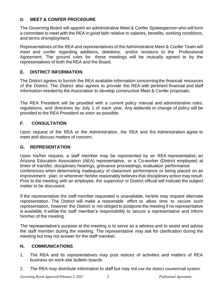#### **D. MEET & CONFER PROCEDURE**

The Governing Board will appoint an administrative Meet & Confer Spokesperson who will form a committee to meet with the REA in good faith relative to salaries, benefits, working conditions, and terms of employment.

Representatives of the REA and representatives of the Administrative Meet & Confer Team will meet and confer regarding additions, deletions, and/or revisions to the Professional Agreement. The ground rules for these meetings will be mutually agreed to by the representatives of both theREA and the Board.

# **E. DISTRICT INFORMATION**

The District agrees to furnish the REA available information concerningthe financial resources of the District. The District also agrees to provide the REA with pertinent financial and staff information needed by the Association to develop constructive Meet & Confer proposals.

The REA President will be provided with a current policy manual and administrative rules, regulations, and directives by July 1 of each year. Any addenda or change of policy will be provided to the REA President as soon as possible.

# **F. CONSULTATION**

Upon request of the REA or the Administration, the REA and the Administration agree to meet and discuss matters of concern.

#### **G. REPRESENTATION**

Upon his/her request, a staff member may be represented by an REA representative, an Arizona Education Association (AEA) representative, or a Co-worker (District employee) at times of transfer, disciplinary hearings, grievance proceedings, evaluation performance conferences when determining inadequacy of classroom performance or being placed on an improvement plan, or whenever he/she reasonably believes that disciplinary action may result. Prior to the meeting with an employee, the supervisor or District official will indicate the subject matter to be discussed.

If the representative the staff member requested is unavailable, he/she may request alternate representation. The District will make a reasonable effort to allow time to secure such representation, however the District is not obliged to postpone the meeting if no representative is available. It willbe the staff member's responsibility to secure a representative and inform him/her of the meeting.

The representative's purpose at the meeting is to serve as a witness and to assist and advise the staff member during the meeting. The representative may ask for clarification during the meeting but may not answer for the staff member.

# **H. COMMUNICATIONS**

- 1. The REA and its representatives may post notices of activities and matters of REA business on work-site bulletin boards.
- 2. The REA may distribute information to staff but may not use the district courier/mail system.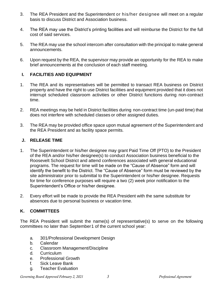- 3. The REA President and the Superintendent or his/her designee will meet on a regular basis to discuss District and Association business.
- 4. The REA may use the District's printing facilities and will reimburse the District for the full cost of said services.
- 5. The REA may use the school intercom after consultation with the principal to make general announcements.
- 6. Upon request by the REA, the supervisor may provide an opportunity for the REA to make brief announcements at the conclusion of each staff meeting.

#### **I. FACILITIES AND EQUIPMENT**

- 1. The REA and its representatives will be permitted to transact REA business on District property and have the right to use District facilities and equipment provided that it does not interrupt scheduled classroom activities or other District functions during non-contract time.
- 2. REA meetings may be held in District facilities during non-contract time (un-paid time) that does not interfere with scheduled classes or other assigned duties.
- 3. The REA may be provided office space upon mutual agreement of the Superintendent and the REA President and as facility space permits.

#### **J. RELEASE TIME**

- 1. The Superintendent or his/her designee may grant Paid Time Off (PTO) to the President of the REA and/or his/her designee(s) to conduct Association business beneficial to the Roosevelt School District and attend conferences associated with general educational programs. The request for time will be made on the "Cause of Absence" form and will identify the benefit to the District. The "Cause of Absence" form must be reviewed by the site administrator prior to submittal to the Superintendent or his/her designee. Requests for time for conference purposes will require a two (2) week prior notification to the Superintendent's Office or his/her designee.
- 2. Every effort will be made to provide the REA President with the same substitute for absences due to personal business or vacation time.

#### **K. COMMITTEES**

The REA President will submit the name(s) of representative(s) to serve on the following committees no later than September1 of the current school year:

- a. 301/Professional Development Design
- b. Calendar
- c. Classroom Management/Discipline
- d. Curriculum
- e. Professional Growth
- f. Sick Leave Bank
- g. Teacher Evaluation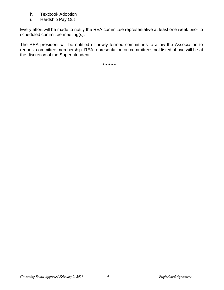- h. Textbook Adoption
- i. Hardship Pay Out

Every effort will be made to notify the REA committee representative at least one week prior to scheduled committee meeting(s).

The REA president will be notified of newly formed committees to allow the Association to request committee membership. REA representation on committees not listed above will be at the discretion of the Superintendent.

*\* \* \* \* \**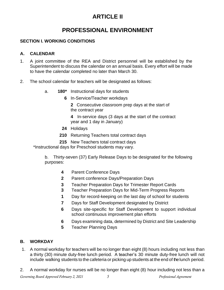# **ARTICLE II**

# **PROFESSIONAL ENVIRONMENT**

#### **SECTION I. WORKING CONDITIONS**

#### **A. CALENDAR**

- 1. A joint committee of the REA and District personnel will be established by the Superintendent to discuss the calendar on an annual basis. Every effort will be made to have the calendar completed no later than March 30.
- 2. The school calendar for teachers will be designated as follows:
	- a. **180\*** Instructional days for students
		- **6** In-Service/Teacher workdays
			- **2** Consecutive classroom prep days at the start of the contract year
			- **4** In-service days (3 days at the start of the contract year and 1 day in January)
		- **24** Holidays
		- **210** Returning Teachers total contract days
		- **215** New Teachers total contract days

\*Instructional days for Preschool students may vary.

b. Thirty-seven (37) Early Release Days to be designated for the following purposes:

- **4** Parent Conference Days
- **2** Parent conference Days/Preparation Days
- **3** Teacher Preparation Days for Trimester Report Cards
- **3** Teacher Preparation Days for Mid-Term Progress Reports
- **1** Day for record-keeping on the last day of school for students
- **7** Days for Staff Development designated by District
- **6** Days site-specific for Staff Development to support individual school continuous improvement plan efforts
- **6** Days examining data, determined by District and Site Leadership
- **5** Teacher Planning Days

#### **B. WORKDAY**

- 1. A normal workday for teachers will be no longer than eight (8) hours including not less than a thirty (30) minute duty-free lunch period. A teacher's 30 minute duty-free lunch will not include walking students to the cafeteria or picking up students at the end of thelunch period.
- 2. A normal workday for nurses will be no longer than eight (8) hour including not less than a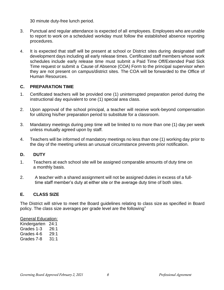30 minute duty-free lunch period.

- 3. Punctual and regular attendance is expected of all employees. Employees who are unable to report to work on a scheduled workday must follow the established absence reporting procedures.
- 4. It is expected that staff will be present at school or District sites during designated staff development days including all early release times. Certificated staff members whose work schedules include early release time must submit a Paid Time Off/Extended Paid Sick Time request or submit a Cause of Absence (COA) Form to the principal supervisor when they are not present on campus/district sites. The COA will be forwarded to the Office of Human Resources.

#### **C. PREPARATION TIME**

- 1. Certificated teachers will be provided one (1) uninterrupted preparation period during the instructional day equivalent to one (1) special area class.
- 2. Upon approval of the school principal, a teacher will receive work-beyond compensation for utilizing his/her preparation period to substitute for a classroom.
- 3. Mandatory meetings during prep time will be limited to no more than one (1) day per week unless mutually agreed upon by staff.
- 4. Teachers will be informed of mandatory meetings no less than one (1) working day prior to the day of the meeting unless an unusual circumstance prevents prior notification.

#### **D. DUTY**

- 1. Teachers at each school site will be assigned comparable amounts of duty time on a monthly basis.
- 2. A teacher with a shared assignment will not be assigned duties in excess of a fulltime staff member's duty at either site or the average duty time of both sites.

#### **E. CLASS SIZE**

The District will strive to meet the Board guidelines relating to class size as specified in Board policy. The class size averages per grade level are the following"

#### General Education:

Kindergarten 24:1 Grades 1-3 26:1 Grades 4-6 29:1 Grades 7-8 31:1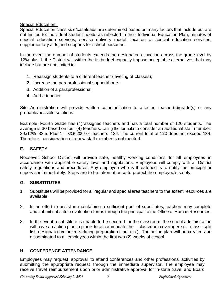#### Special Education:

Special Education class size/caseloads are determined based on many factors that include but are not limited to: individual student needs as reflected in their Individual Education Plan, minutes of special education services, service delivery model, location of special education services, supplementary aids and supports for school personnel.

In the event the number of students exceeds the designated allocation across the grade level by 12% plus 1, the District will within the its budget capacity impose acceptable alternatives that may include but are not limited to:

- 1. Reassign students to a different teacher (leveling of classes);
- 2. Increase the paraprofessional support/hours;
- 3. Addition of a paraprofessional;
- 4. Add a teacher.

Site Administration will provide written communication to affected teacher(s)/grade(s) of any probable/possible solutions.

Example: Fourth Grade has (4) assigned teachers and has a total number of 120 students. The average is 30 based on four (4) teachers. Using the formula to consider an additional staff member: 29x12%=32.5. Plus 1 = 33.5, 33.5x4 teachers=134. The current total of 120 does not exceed 134. Therefore, consideration of a new staff member is not merited.

#### **F. SAFETY**

Roosevelt School District will provide safe, healthy working conditions for all employees in accordance with applicable safety laws and regulations. Employees will comply with all District safety regulations and procedures. Any employee who is threatened is to notify the principal or supervisor immediately. Steps are to be taken at once to protect the employee's safety.

#### **G. SUBSTITUTES**

- 1. Substitutes will be provided for all regular and special area teachers to the extent resources are available.
- 2. In an effort to assist in maintaining a sufficient pool of substitutes, teachers may complete and submit substitute evaluation forms through the principal to the Office of Human Resources.
- 3. In the event a substitute is unable to be secured for the classroom, the school administration will have an action plan in place to accommodate the classroom coverage(e.g. class split list, designated volunteers during preparation time, etc.). The action plan will be created and disseminated to all employees within the first two (2) weeks of school.

#### **H. CONFERENCE ATTENDANCE**

Employees may request approval to attend conferences and other professional activities by submitting the appropriate request through the immediate supervisor. The employee may receive travel reimbursement upon prior administrative approval for in-state travel and Board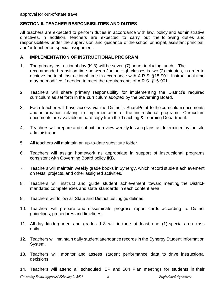approval for out-of-state travel.

#### **SECTION II. TEACHER RESPONSIBILITIES AND DUTIES**

All teachers are expected to perform duties in accordance with law, policy and administrative directives. In addition, teachers are expected to carry out the following duties and responsibilities under the supervision and guidance of the school principal, assistant principal, and/or teacher on special assignment.

#### **A. IMPLEMENTATION OF INSTRUCTIONAL PROGRAM**

- 1. The primary instructional day (K-8) will be seven (7) hours,including lunch. The recommended transition time between Junior High classes is two (2) minutes, in order to achieve the total instructional time in accordance with A.R.S. §15-901. Instructional time may be modified if needed to meet the requirements of A.R.S. §15-901.
- 2. Teachers will share primary responsibility for implementing the District's required curriculum as set forth in the curriculum adopted by the Governing Board.
- 3. Each teacher will have access via the District's SharePoint to the curriculum documents and information relating to implementation of the instructional programs. Curriculum documents are available in hard copy from the Teaching & Learning Department.
- 4. Teachers will prepare and submit for review weekly lesson plans as determined by the site administrator.
- 5. All teachers will maintain an up-to-date substitute folder.
- 6. Teachers will assign homework as appropriate in support of instructional programs consistent with Governing Board policy IKB.
- 7. Teachers will maintain weekly grade books in Synergy, which record student achievement on tests, projects, and other assigned activities.
- 8. Teachers will instruct and guide student achievement toward meeting the Districtmandated competencies and state standards in each content area.
- 9. Teachers will follow all State and District testing guidelines.
- 10. Teachers will prepare and disseminate progress report cards according to District guidelines, procedures and timelines.
- 11. All-day kindergarten and grades 1-8 will include at least one (1) special area class daily.
- 12. Teachers will maintain daily student attendance records in the Synergy Student Information System.
- 13. Teachers will monitor and assess student performance data to drive instructional decisions.
- 14. Teachers will attend all scheduled IEP and 504 Plan meetings for students in their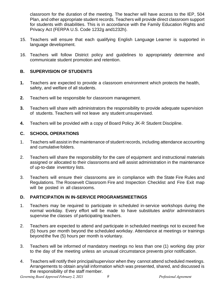classroom for the duration of the meeting. The teacher will have access to the IEP, 504 Plan, and other appropriate student records. Teachers will provide direct classroom support for students with disabilities. This is in accordance with the Family Education Rights and Privacy Act (FERPA U.S. Code 1232g and1232h).

- 15. Teachers will ensure that each qualifying English Language Learner is supported in language development.
- 16. Teachers will follow District policy and guidelines to appropriately determine and communicate student promotion and retention.

#### **B. SUPERVISION OF STUDENTS**

- **1.** Teachers are expected to provide a classroom environment which protects the health, safety, and welfare of all students.
- **2.** Teachers will be responsible for classroom management.
- **3.** Teachers will share with administrators the responsibility to provide adequate supervision of students. Teachers will not leave any student unsupervised.
- **4.** Teachers will be provided with a copy of Board Policy JK-R Student Discipline.

#### **C. SCHOOL OPERATIONS**

- 1. Teachers will assist in the maintenance of student records, including attendance accounting and cumulative folders.
- 2. Teachers will share the responsibility for the care of equipment and instructional materials assigned or allocated to their classrooms and will assist administration in the maintenance of up-to-date inventory lists.
- 3. Teachers will ensure their classrooms are in compliance with the State Fire Rules and Regulations. The Roosevelt Classroom Fire and Inspection Checklist and Fire Exit map will be posted in all classrooms.

#### **D. PARTICIPATION IN IN-SERVICE PROGRAMS/MEETINGS**

- 1. Teachers may be required to participate in scheduled in-service workshops during the normal workday. Every effort will be made to have substitutes and/or administrators supervise the classes of participating teachers.
- 2. Teachers are expected to attend and participate in scheduled meetings not to exceed five (5) hours per month beyond the scheduled workday. Attendance at meetings or trainings beyondthe five (5) hours per month is voluntary.
- 3. Teachers will be informed of mandatory meetings no less than one (1) working day prior to the day of the meeting unless an unusual circumstance prevents prior notification.
- 4. Teachers will notify their principal/supervisor when they cannot attend scheduled meetings. Arrangements to obtain any/all information which was presented, shared, and discussed is the responsibility of the staff member.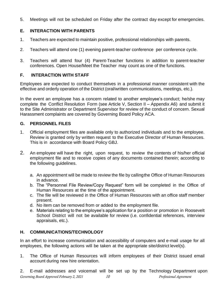5. Meetings will not be scheduled on Friday after the contract day except for emergencies.

# **E. INTERACTION WITH PARENTS**

- 1. Teachers are expected to maintain positive, professional relationships with parents.
- 2. Teachers will attend one (1) evening parent-teacher conference per conference cycle.
- 3. Teachers will attend four (4) Parent-Teacher functions in addition to parent-teacher conferences. Open House/Meet the Teacher may count as one of the functions.

# **F. INTERACTION WITH STAFF**

Employees are expected to conduct themselves in a professional manner consistent with the effective and orderly operation of the District (oral/written communications, meetings, etc.).

In the event an employee has a concern related to another employee's conduct; he/she may complete the Conflict Resolution Form (see Article V, Section II – Appendix A6) and submit it to the Site Administrator or Department Supervisor for review of the conduct of concern. Sexual Harassment complaints are covered by Governing Board Policy ACA.

# **G. PERSONNEL FILES**

- 1. Official employment files are available only to authorized individuals and to the employee. Review is granted only by written request to the Executive Director of Human Resources. This is in accordance with Board Policy GBJ.
- 2. An employee will have the right, upon request, to review the contents of his/her official employment file and to receive copies of any documents contained therein; according to the following guidelines.
	- a. An appointment will be made to review the file by callingthe Office of Human Resources in advance.
	- b. The "Personnel File Review/Copy Request" form will be completed in the Office of Human Resources at the time of the appointment.
	- c. The file will be reviewed in the Office of Human Resources with an office staff member present.
	- d. No item can be removed from or added to the employment file.
	- e. Materials relating to the employee's application for a position or promotion in Roosevelt School District will not be available for review (i.e. confidential references, interview appraisals, etc.).

# **H. COMMUNICATIONS/TECHNOLOGY**

In an effort to increase communication and accessibility of computers and e-mail usage for all employees, the following actions will be taken at the appropriate site/district level(s).

1. The Office of Human Resources will inform employees of their District issued email account during new hire orientation.

*Governing Board Approved February 2, 2021 10 Professional Agreement* 2. E-mail addresses and voicemail will be set up by the Technology Department upon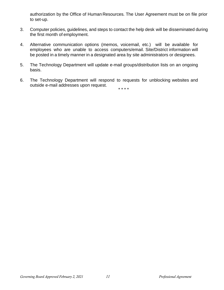authorization by the Office of Human Resources. The User Agreement must be on file prior to set-up.

- 3. Computer policies, guidelines, and steps to contact the help desk will be disseminated during the first month of employment.
- 4. Alternative communication options (memos, voicemail, etc.) will be available for employees who are unable to access computers/email. Site/District information will be posted in a timely manner in a designated area by site administrators or designees.
- 5. The Technology Department will update e-mail groups/distribution lists on an ongoing basis.
- 6. The Technology Department will respond to requests for unblocking websites and outside e-mail addresses upon request.

\* \* \* \*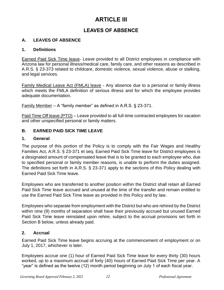# **ARTICLE III**

# **LEAVES OF ABSENCE**

# **A. LEAVES OF ABSENCE**

#### **1. Definitions**

Earned Paid Sick Time leave- Leave provided to all District employees in compliance with Arizona law for personal illness/medical care, family care, and other reasons as described in A.R.S. § 23-373 related to childcare, domestic violence, sexual violence, abuse or stalking, and legal services.

Family Medical Leave Act (FMLA) leave - Any absence due to a personal or family illness which meets the FMLA definition of serious illness and for which the employee provides adequate documentation.

Family Member – A "family member" as defined in A.R.S. § 23-371.

Paid Time Off leave (PTO) – Leave provided to all full-time contracted employees for vacation and other unspecified personal or family matters.

#### **B. EARNED PAID SICK TIME LEAVE**

#### **1. General**

The purpose of this portion of the Policy is to comply with the Fair Wages and Healthy Families Act, A.R.S. § 23-371 et seq. Earned Paid Sick Time leave for District employees is a designated amount of compensated leave that is to be granted to each employee who, due to specified personal or family member reasons, is unable to perform the duties assigned. The definitions set forth in A.R.S. § 23-371 apply to the sections of this Policy dealing with Earned Paid Sick Time leave.

Employees who are transferred to another position within the District shall retain all Earned Paid Sick Time leave accrued and unused at the time of the transfer and remain entitled to use the Earned Paid Sick Time leave as provided in this Policy and by law.

Employees who separate from employment with the District but who are rehired by the District within nine (9) months of separation shall have their previously accrued but unused Earned Paid Sick Time leave reinstated upon rehire, subject to the accrual provisions set forth in Section B below, unless already paid.

#### **2. Accrual**

Earned Paid Sick Time leave begins accruing at the commencement of employment or on July 1, 2017, whichever is later.

Employees accrue one (1) hour of Earned Paid Sick Time leave for every thirty (30) hours worked, up to a maximum accrual of forty (40) hours of Earned Paid Sick Time per year. A "year" is defined as the twelve (12) month period beginning on July 1 of each fiscal year.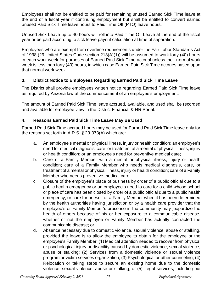Employees shall not be entitled to be paid for remaining unused Earned Sick Time leave at the end of a fiscal year if continuing employment but shall be entitled to convert earned unused Paid Sick Time leave hours to Paid Time Off (PTO) leave hours.

Unused Sick Leave up to 40 hours will roll into Paid Time Off Leave at the end of the fiscal year or be paid according to sick leave payout calculation at time of separation.

Employees who are exempt from overtime requirements under the Fair Labor Standards Act of 1938 (29 United States Code section 213(A)(1)) will be assumed to work forty (40) hours in each work week for purposes of Earned Paid Sick Time accrual unless their normal work week is less than forty (40) hours, in which case Earned Paid Sick Time accrues based upon that normal work week.

#### **3. District Notice to Employees Regarding Earned Paid Sick Time Leave**

The District shall provide employees written notice regarding Earned Paid Sick Time leave as required by Arizona law at the commencement of an employee's employment.

The amount of Earned Paid Sick Time leave accrued, available, and used shall be recorded and available for employee view in the District Financial & HR Portal.

#### **4. Reasons Earned Paid Sick Time Leave May Be Used**

Earned Paid Sick Time accrued hours may be used for Earned Paid Sick Time leave only for the reasons set forth in A.R.S. § 23-373(A) which are:

- a. An employee's mental or physical illness, injury or health condition; an employee's need for medical diagnosis, care, or treatment of a mental or physical illness, injury or health condition; or an employee's need for preventive medical care;
- b. Care of a Family Member with a mental or physical illness, injury or health condition; care of a Family Member who needs medical diagnosis, care, or treatment of a mental or physical illness, injury or health condition; care of a Family Member who needs preventive medical care;
- c. Closure of the employee's place of business by order of a public official due to a public health emergency or an employee's need to care for a child whose school or place of care has been closed by order of a public official due to a public health emergency, or care for oneself or a Family Member when it has been determined by the health authorities having jurisdiction or by a health care provider that the employee's or Family Member's presence in the community may jeopardize the health of others because of his or her exposure to a communicable disease, whether or not the employee or Family Member has actually contracted the communicable disease; or
- d. Absence necessary due to domestic violence, sexual violence, abuse or stalking, provided the leave is to allow the employee to obtain for the employee or the employee's Family Member: (1) Medical attention needed to recover from physical or psychological injury or disability caused by domestic violence, sexual violence, abuse or stalking; (2) Services from a domestic violence or sexual violence program or victim services organization; (3) Psychological or other counseling; (4) Relocation or taking steps to secure an existing home due to the domestic violence, sexual violence, abuse or stalking; or (5) Legal services, including but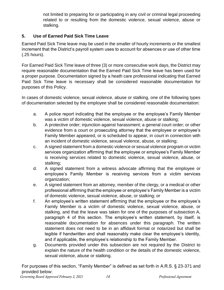not limited to preparing for or participating in any civil or criminal legal proceeding related to or resulting from the domestic violence, sexual violence, abuse or stalking.

#### **5. Use of Earned Paid Sick Time Leave**

Earned Paid Sick Time leave may be used in the smaller of hourly increments or the smallest increment that the District's payroll system uses to account for absences or use of other time (.25 hours).

For Earned Paid Sick Time leave of three (3) or more consecutive work days, the District may require reasonable documentation that the Earned Paid Sick Time leave has been used for a proper purpose. Documentation signed by a heath care professional indicating that Earned Paid Sick Time leave is necessary shall be considered reasonable documentation for purposes of this Policy.

In cases of domestic violence, sexual violence, abuse or stalking, one of the following types of documentation selected by the employee shall be considered reasonable documentation:

- a. A police report indicating that the employee or the employee's Family Member was a victim of domestic violence, sexual violence, abuse or stalking;
- b. A protective order; injunction against harassment; a general court order; or other evidence from a court or prosecuting attorney that the employee or employee's Family Member appeared, or is scheduled to appear, in court in connection with an incident of domestic violence, sexual violence, abuse, or stalking;
- c. A signed statement from a domestic violence or sexual violence program or victim services organization affirming that the employee or employee's Family Member is receiving services related to domestic violence, sexual violence, abuse, or stalking;
- d. A signed statement from a witness advocate affirming that the employee or employee's Family Member is receiving services from a victim services organization;
- e. A signed statement from an attorney, member of the clergy, or a medical or other professional affirming that the employee or employee's Family Member is a victim of domestic violence, sexual violence, abuse, or stalking; or
- f. An employee's written statement affirming that the employee or the employee's Family Member is a victim of domestic violence, sexual violence, abuse, or stalking, and that the leave was taken for one of the purposes of subsection A, paragraph 4 of this section. The employee's written statement, by itself, is reasonable documentation for absences under this paragraph. The written statement does not need to be in an affidavit format or notarized but shall be legible if handwritten and shall reasonably make clear the employee's identity, and if applicable, the employee's relationship to the Family Member.
- g. Documents provided under this subsection are not required by the District to explain the nature of the health condition or the details of the domestic violence, sexual violence, abuse or stalking.

*Governing Board Approved February 2, 2021 14 Professional Agreement* For purposes of this section, "Family Member" is defined as set forth in A.R.S. § 23-371 and provided below: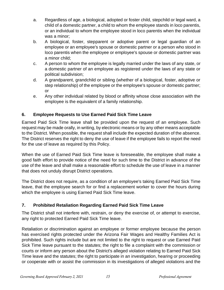- a. Regardless of age, a biological, adopted or foster child, stepchild or legal ward, a child of a domestic partner, a child to whom the employee stands in loco parentis, or an individual to whom the employee stood in loco parentis when the individual was a minor;
- b. A biological, foster, stepparent or adoptive parent or legal guardian of an employee or an employee's spouse or domestic partner or a person who stood in loco parentis when the employee or employee's spouse or domestic partner was a minor child;
- c. A person to whom the employee is legally married under the laws of any state, or a domestic partner of an employee as registered under the laws of any state or political subdivision;
- d. A grandparent, grandchild or sibling (whether of a biological, foster, adoptive or step relationship) of the employee or the employee's spouse or domestic partner; or
- e. Any other individual related by blood or affinity whose close association with the employee is the equivalent of a family relationship.

# **6. Employee Requests to Use Earned Paid Sick Time Leave**

Earned Paid Sick Time leave shall be provided upon the request of an employee. Such request may be made orally, in writing, by electronic means or by any other means acceptable to the District. When possible, the request shall include the expected duration of the absence. The District reserves the right to deny the use of leave if the employee fails to report the need for the use of leave as required by this Policy.

When the use of Earned Paid Sick Time leave is foreseeable, the employee shall make a good faith effort to provide notice of the need for such time to the District in advance of the use of the leave and shall make a reasonable effort to schedule the use of leave in a manner that does not unduly disrupt District operations.

The District does not require, as a condition of an employee's taking Earned Paid Sick Time leave, that the employee search for or find a replacement worker to cover the hours during which the employee is using Earned Paid Sick Time leave.

# **7. Prohibited Retaliation Regarding Earned Paid Sick Time Leave**

The District shall not interfere with, restrain, or deny the exercise of, or attempt to exercise, any right to protected Earned Paid Sick Time leave.

Retaliation or discrimination against an employee or former employee because the person has exercised rights protected under the Arizona Fair Wages and Healthy Families Act is prohibited. Such rights include but are not limited to the right to request or use Earned Paid Sick Time leave pursuant to the statutes; the right to file a complaint with the commission or courts or inform any person about the District's alleged violation relating to Earned Paid Sick Time leave and the statutes; the right to participate in an investigation, hearing or proceeding or cooperate with or assist the commission in its investigations of alleged violations and the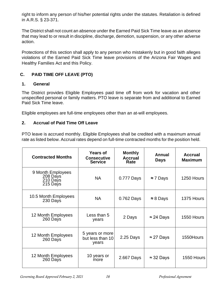right to inform any person of his/her potential rights under the statutes. Retaliation is defined in A.R.S. § 23-371.

The District shall not count an absence under the Earned Paid Sick Time leave as an absence that may lead to or result in discipline, discharge, demotion, suspension, or any other adverse action.

Protections of this section shall apply to any person who mistakenly but in good faith alleges violations of the Earned Paid Sick Time leave provisions of the Arizona Fair Wages and Healthy Families Act and this Policy.

# **C. PAID TIME OFF LEAVE (PTO)**

#### **1. General**

The District provides Eligible Employees paid time off from work for vacation and other unspecified personal or family matters. PTO leave is separate from and additional to Earned Paid Sick Time leave.

Eligible employees are full-time employees other than an at-will employees.

# **2. Accrual of Paid Time Off Leave**

PTO leave is accrued monthly. Eligible Employees shall be credited with a maximum annual rate as listed below. Accrual rates depend on full-time contracted months for the position held.

| <b>Contracted Months</b>                              | <b>Years of</b><br><b>Consecutive</b><br><b>Service</b> | <b>Monthly</b><br><b>Accrual</b><br>Rate | Annual<br><b>Days</b> | <b>Accrual</b><br><b>Maximum</b> |
|-------------------------------------------------------|---------------------------------------------------------|------------------------------------------|-----------------------|----------------------------------|
| 9 Month Employees<br>208 Days<br>210 Days<br>215 Days | <b>NA</b>                                               | 0.777 Days<br>$\approx$ 7 Days           |                       | 1250 Hours                       |
| 10.5 Month Employees<br>230 Days                      | <b>NA</b>                                               | 0.762 Days<br>$\approx 8$ Days           |                       | 1375 Hours                       |
| 12 Month Employees<br>260 Days                        | Less than 5<br>years                                    | 2 Days                                   | $\approx$ 24 Days     | 1550 Hours                       |
| 12 Month Employees<br>260 Days                        | 5 years or more<br>but less than 10<br>years            | 2.25 Days                                | $\approx$ 27 Days     | 1550Hours                        |
| 12 Month Employees<br>260 Days                        | 10 years or<br>more                                     | 2.667 Days                               | $\approx$ 32 Days     | 1550 Hours                       |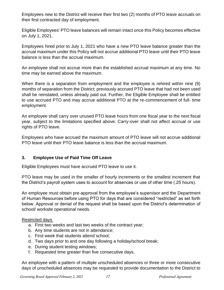Employees new to the District will receive their first two (2) months of PTO leave accruals on their first contracted day of employment.

Eligible Employees' PTO leave balances will remain intact once this Policy becomes effective on July 1, 2021.

Employees hired prior to July 1, 2021 who have a new PTO leave balance greater than the accrual maximum under this Policy will not accrue additional PTO leave until their PTO leave balance is less than the accrual maximum.

An employee shall not accrue more than the established accrual maximum at any time. No time may be earned above the maximum.

When there is a separation from employment and the employee is rehired within nine (9) months of separation from the District; previously accrued PTO leave that had not been used shall be reinstated, unless already paid out. Further, the Eligible Employee shall be entitled to use accrued PTO and may accrue additional PTO at the re-commencement of full- time employment.

An employee shall carry over unused PTO leave hours from one fiscal year to the next fiscal year, subject to the limitations specified above. Carry-over shall not affect accrual or use rights of PTO leave.

Employees who have accrued the maximum amount of PTO leave will not accrue additional PTO leave until their PTO leave balance is less than the accrual maximum.

#### **3. Employee Use of Paid Time Off Leave**

Eligible Employees must have accrued PTO leave to use it.

PTO leave may be used in the smaller of hourly increments or the smallest increment that the District's payroll system uses to account for absences or use of other time (.25 hours).

An employee must obtain pre-approval from the employee's supervisor and the Department of Human Resources before using PTO for days that are considered "restricted" as set forth below. Approval or denial of the request shall be based upon the District's determination of school/ worksite operational needs.

#### Restricted days

- a. First two weeks and last two weeks of the contract year;
- b. Any time students are not in attendance;
- c. First week that students attend school;
- d. Two days prior to and one day following a holiday/school break;
- e. During student testing windows;
- f. Requested time greater than five consecutive days.

An employee with a pattern of multiple unscheduled absences or three or more consecutive days of unscheduled absences may be requested to provide documentation to the District to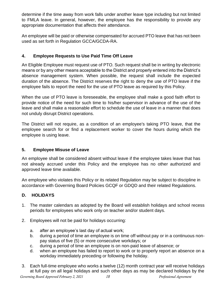determine if the time away from work falls under another leave type including but not limited to FMLA leave. In general, however, the employee has the responsibility to provide any appropriate documentation that affects their attendance.

An employee will be paid or otherwise compensated for accrued PTO leave that has not been used as set forth in Regulation GCCA/GCDA-RA.

# **4. Employee Requests to Use Paid Time Off Leave**

An Eligible Employee must request use of PTO. Such request shall be in writing by electronic means or by any other means acceptable to the District and properly entered into the District's absence management system. When possible, the request shall include the expected duration of the absence. The District reserves the right to deny the use of PTO leave if the employee fails to report the need for the use of PTO leave as required by this Policy.

When the use of PTO leave is foreseeable, the employee shall make a good faith effort to provide notice of the need for such time to his/her supervisor in advance of the use of the leave and shall make a reasonable effort to schedule the use of leave in a manner that does not unduly disrupt District operations.

The District will not require, as a condition of an employee's taking PTO leave, that the employee search for or find a replacement worker to cover the hours during which the employee is using leave.

# **5. Employee Misuse of Leave**

An employee shall be considered absent without leave if the employee takes leave that has not already accrued under this Policy and the employee has no other authorized and approved leave time available.

An employee who violates this Policy or its related Regulation may be subject to discipline in accordance with Governing Board Policies GCQF or GDQD and their related Regulations.

# **D. HOLIDAYS**

- 1. The master calendars as adopted by the Board will establish holidays and school recess periods for employees who work only on teacher and/or student days.
- 2. Employees will not be paid for holidays occurring:
	- a. after an employee's last day of actual work;
	- b. during a period of time an employee is on time off without pay or in a continuous nonpay status of five (5) or more consecutive workdays; or
	- c. during a period of time an employee is on non-paid leave of absence; or
	- d. when an employee has failed to report to work or to properly report an absence on a workday immediately preceding or following the holiday.
- *Governing Board Approved February 2, 2021 18 Professional Agreement* 3. Each full-time employee who works a twelve (12) month contract year will receive holidays at full pay on all legal holidays and such other days as may be declared holidays by the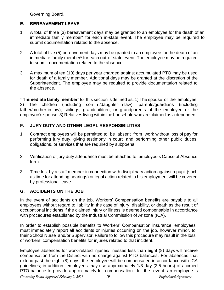Governing Board.

# **E. BEREAVEMENT LEAVE**

- 1. A total of three (3) bereavement days may be granted to an employee for the death of an immediate family member\* for each in-state event. The employee may be required to submit documentation related to the absence.
- 2. A total of five (5) bereavement days may be granted to an employee for the death of an immediate family member\* for each out-of-state event. The employee may be required to submit documentation related to the absence.
- 3. A maximum of ten (10) days per year charged against accumulated PTO may be used for death of a family member. Additional days may be granted at the discretion of the Superintendent. The employee may be required to provide documentation related to the absence.

\* "**Immediate family member**" for this section is defined as: 1) The spouse of the employee; 2) The children (including son-in-/daughter-in-law), parents/guardians (including father/mother-in-law), siblings, grandchildren, or grandparents of the employee or the employee's spouse; 3) Relatives living within the household who are claimed as a dependent.

# **F. JURY DUTY AND OTHER LEGAL RESPONSIBILITIES**

- 1. Contract employees will be permitted to be absent from work without loss of pay for performing jury duty, giving testimony in court, and performing other public duties, obligations, or services that are required by subpoena.
- 2. Verification of jury duty attendance must be attached to employee's Cause of Absence form.
- 3. Time lost by a staff member in connection with disciplinary action against a pupil (such as time for attending hearings) or legal action related to his employment will be covered by professional leave.

# **G. ACCIDENTS ON THE JOB**

In the event of accidents on the job, Workers' Compensation benefits are payable to all employees without regard to liability in the case of injury, disability, or death as the result of occupational incidents if the claimed injury or illness is deemed compensable in accordance with procedures established by the Industrial Commission of Arizona (ICA).

In order to establish possible benefits to Workers' Compensation insurance, employees must immediately report all accidents or injuries occurring on the job, however minor, to their School Nurse and/or Supervisor. Failure to follow this procedure may result in the loss of workers' compensation benefits for injuries related to that incident.

Employee absences for work-related injuries/illnesses less than eight (8) days will receive compensation from the District with no charge against PTO balances. For absences that extend past the eight (8) days, the employee will be compensated in accordance with ICA guidelines; in addition employees may use approximately 1/3 day (2.5 hours) of accrued PTO balance to provide approximately full compensation. In the event an employee is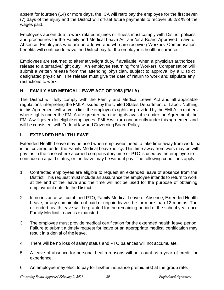absent for fourteen (14) or more days, the ICA will retro pay the employee for the first seven (7) days of the injury and the District will off-set future payments to recover 66 2/3 % of the wages paid.

Employees absent due to work-related injuries or illness must comply with District policies and procedures for the Family and Medical Leave Act and/or a Board-Approved Leave of Absence. Employees who are on a leave and who are receiving Workers' Compensation benefits will continue to have the District pay for the employee's health insurance.

Employees are returned to alternative/light duty, if available, when a physician authorizes release to alternative/light duty. An employee returning from Workers' Compensation will submit a written release from the attending physician, subject to approval by a District designated physician. The release must give the date of return to work and stipulate any restrictions to work.

#### **H. FAMILY AND MEDICAL LEAVE ACT OF 1993 (FMLA)**

The District will fully comply with the Family and Medical Leave Act and all applicable regulations interpreting the FMLA issued by the United States Department of Labor. Nothing in this Agreement will serve to limit the employee's rights as provided by the FMLA. In matters where rights under the FMLA are greater than the rights available under the Agreement, the FMLA will govern for eligible employees. FMLA will run concurrently under this agreement and will be consistent with Federal law and Governing Board Policy.

# **I. EXTENDED HEALTH LEAVE**

Extended Health Leave may be used when employees need to take time away from work that is not covered under the Family Medical Leavepolicy. This time away from work may be with pay, as in the case where accrued compensatory time or PTO is used by the employee to continue on a paid status, or the leave may be without pay. The following conditions apply:

- 1. Contracted employees are eligible to request an extended leave of absence from the District. This request must include an assurance the employee intends to return to work at the end of the leave and the time will not be used for the purpose of obtaining employment outside the District.
- 2. In no instance will combined PTO, Family Medical Leave of Absence, Extended Health Leave, or any combination of paid or unpaid leaves be for more than 12 months. The extended health leave will be granted for the remaining period of the school year once Family Medical Leave is exhausted.
- 3. The employee must provide medical certification for the extended health leave period. Failure to submit a timely request for leave or an appropriate medical certification may result in a denial of the leave.
- 4. There will be no loss of salary status and PTO balances will not accumulate.
- 5. A leave of absence for personal health reasons will not count as a year of credit for experience.
- 6. An employee may elect to pay for his/her insurance premium(s) at the group rate.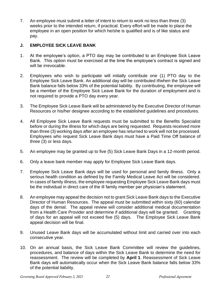7. An employee must submit a letter of intent to return to work no less than three (3) weeks prior to the intended return, if practical. Every effort will be made to place the employee in an open position for which he/she is qualified and is of like status and pay.

#### **J. EMPLOYEE SICK LEAVE BANK**

- 1. At the employee's option, a PTO day may be contributed to an Employee Sick Leave Bank. This option must be exercised at the time the employee's contract is signed and will be irrevocable.
- 2. Employees who wish to participate will initially contribute one (1) PTO day to the Employee Sick Leave Bank. An additional day will be contributed if/when the Sick Leave Bank balance falls below 33% of the potential liability. By contributing, the employee will be a member of the Employee Sick Leave Bank for the duration of employment and is not required to provide a PTO day every year.
- 3. The Employee Sick Leave Bank will be administered by the Executive Director of Human Resources or his/her designee according to the established guidelines and procedures.
- 4. All Employee Sick Leave Bank requests must be submitted to the Benefits Specialist before or during the illness for which days are being requested. Requests received more than three (3) working days after an employee has returned to work will not be processed. Employees who request Sick Leave Bank days must have a Paid Time Off balance of three (3) or less days.
- 5. An employee may be granted up to five (5) Sick Leave Bank Days in a 12-month period.
- 6. Only a leave bank member may apply for Employee Sick Leave Bank days.
- 7. Employee Sick Leave Bank days will be used for personal and family illness. Only a serious health condition as defined by the Family Medical Leave Act will be considered. In cases of family illness, the employee requesting Employee Sick Leave Bank days must be the individual in direct care of the ill family member per physician's statement.
- 8. An employee may appeal the decision not to grant Sick Leave Bank days to the Executive Director of Human Resources. The appeal must be submitted within sixty (60) calendar days of the denial. The appeal review will consider additional medical documentation from a Health Care Provider and determine if additional days will be granted. Granting of days for an appeal will not exceed five (5) days. The Employee Sick Leave Bank appeal decision will be final.
- 9. Unused Leave Bank days will be accumulated without limit and carried over into each consecutive year.
- 10. On an annual basis, the Sick Leave Bank Committee will review the guidelines, procedures, and balance of days within the Sick Leave Bank to determine the need for reassessment. The review will be completed by **April 1**. Reassessment of Sick Leave Bank days will automatically occur when the Sick Leave Bank balance falls below 33% of the potential liability.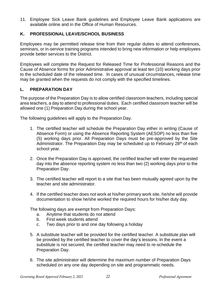11. Employee Sick Leave Bank guidelines and Employee Leave Bank applications are available online and in the Office of Human Resources.

#### **K. PROFESSIONAL LEAVE/SCHOOL BUSINESS**

Employees may be permitted release time from their regular duties to attend conferences, seminars, or in-service training programs intended to bring new information or help employees provide better services to the District.

Employees will complete the Request for Released Time for Professional Reasons and the Cause of Absence forms for prior Administrative approval at least ten (10) working days prior to the scheduled date of the released time. In cases of unusual circumstances, release time may be granted when the requests do not comply with the specified timelines.

#### **L. PREPARATION DAY**

The purpose of the Preparation Day is to allow certified classroom teachers, including special area teachers, a day to attend to professional duties. Each certified classroom teacher will be allowed one (1) Preparation Day during the school year.

The following guidelines will apply to the Preparation Day.

- 1. The certified teacher will schedule the Preparation Day either in writing (Cause of Absence Form) or using the Absence Reporting System (AESOP) no less than five (5) working days prior. All Preparation Days must be pre-approved by the Site Administrator. The Preparation Day may be scheduled up to February 28<sup>th</sup> of each school year.
- 2. Once the Preparation Day is approved, the certified teacher will enter the requested day into the absence reporting system no less than two (2) working days prior to the Preparation Day.
- 3. The certified teacher will report to a site that has been mutually agreed upon by the teacher and site administrator.
- 4. If the certified teacher does not work at his/her primary work site, he/she will provide documentation to show he/she worked the required hours for his/her duty day.

The following days are exempt from Preparation Days:

- a. Anytime that students do not attend
- b. First week students attend
- c. Two days prior to and one day following a holiday
- 5. A substitute teacher will be provided for the certified teacher. A substitute plan will be provided by the certified teacher to cover the day's lessons. In the event a substitute is not secured, the certified teacher may need to re-schedule the Preparation Day.
- 6. The site administrator will determine the maximum number of Preparation Days scheduled on any one day depending on site and programmatic needs.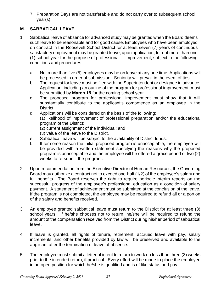7. Preparation Days are not transferable and do not carry over to subsequent school year(s).

# **M. SABBATICAL LEAVE**

- 1. Sabbatical leave of absence for advanced study may be granted when the Board deems such leave to be reasonable and for good cause. Employees who have been employed on contract in the Roosevelt School District for at least seven (7) years of continuous satisfactory employment may be granted leave, upon application, for not more than one (1) school year for the purpose of professional improvement, subject to the following conditions and procedures.
	- a. Not more than five (5) employees may be on leave at any one time. Applications will be processed in order of submission. Seniority will prevail in the event of ties.
	- b. The request for leave must be filed with the Superintendent or designee in advance. Application, including an outline of the program for professional improvement, must be submitted by **March 15** for the coming school year.
	- c. The proposed program for professional improvement must show that it will substantially contribute to the applicant's competence as an employee in the District.
	- d. Applications will be considered on the basis of the following: (1) likelihood of improvement of professional preparation and/or the educational program of the District; (2) current assignment of the individual; and
		- (3) value of the leave to the District.
	- e. Sabbatical leave will be subject to the availability of District funds.
	- f. If for some reason the initial proposed program is unacceptable, the employee will be provided with a written statement specifying the reasons why the proposed program is unacceptable and the employee will be offered a grace period of two (2) weeks to re-submit the program.
- 2. Upon recommendation from the Executive Director of Human Resources, the Governing Board may authorize a contract not to exceed one-half (1/2) of the employee's salary and full benefits. The Board reserves the right to require periodic interim reports on the successful progress of the employee's professional education as a condition of salary payment. A statement of achievement must be submitted at the conclusion of the leave. If the program is not completed, the employee may be required to refund all or a portion of the salary and benefits received.
- 3. An employee granted sabbatical leave must return to the District for at least three (3) school years. If he/she chooses not to return, he/she will be required to refund the amount of the compensation received from the District during his/her period of sabbatical leave.
- 4. If leave is granted, all rights of tenure, retirement, accrued leave with pay, salary increments, and other benefits provided by law will be preserved and available to the applicant after the termination of leave of absence.
- 5. The employee must submit a letter of intent to return to work no less than three (3) weeks prior to the intended return, if practical. Every effort will be made to place the employee in an open position for which he/she is qualified and is of like status and pay.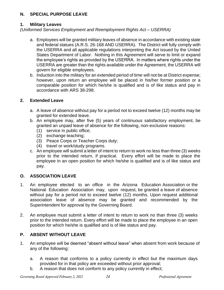#### **N. SPECIAL PURPOSE LEAVE**

#### **1. Military Leaves**

*(Uniformed Services Employment and Reemployment Rights Act – USERRA)*

- a. Employees will be granted military leaves of absence in accordance with existing state and federal statues (A.R.S. 26-168 AND USERRA). The District will fully comply with the USERRA and all applicable regulations interpreting the Act issued by the United States Department of Labor. Nothing in this Agreement will serve to limit or expand the employee's rights as provided by the USERRA. In matters where rights under the USERRA are greater than the rights available under the Agreement, the USERRA will govern for eligible employees.
- b. Induction into the military for an extended period of time will not be at District expense; however, upon return an employee will be placed in his/her former position or a comparable position for which he/she is qualified and is of like status and pay in accordance with ARS 38-298.

#### **2. Extended Leave**

- a. A leave of absence without pay for a period not to exceed twelve (12) months may be granted for extended leave.
- b. An employee may, after five (5) years of continuous satisfactory employment, be granted an unpaid leave of absence for the following, non-exclusive reasons:
	- (1) service in public office;
	- (2) exchange teaching;
	- (3) Peace Corps or Teacher Corps duty;
	- (4) travel or work/study programs.
- c. An employee will submit a letter of intent to return to work no less than three (3) weeks prior to the intended return, if practical. Every effort will be made to place the employee in an open position for which he/she is qualified and is of like status and pay.

# **O. ASSOCIATION LEAVE**

- 1. An employee elected to an office in the Arizona Education Association or the National Education Association may, upon request, be granted a leave of absence without pay for a period not to exceed twelve (12) months. Upon request additional association leave of absence may be granted and recommended by the Superintendent for approval by the Governing Board.
- 2. An employee must submit a letter of intent to return to work no than three (3) weeks prior to the intended return. Every effort will be made to place the employee in an open position for which he/she is qualified and is of like status and pay.

# **P. ABSENT WITHOUT LEAVE**

- 1. An employee will be deemed "absent without leave" when absent from work because of any of the following:
	- a. A reason that conforms to a policy currently in effect but the maximum days provided for in that policy are exceeded without prior approval;
	- b. A reason that does not conform to any policy currently in effect;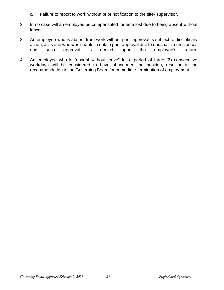- c. Failure to report to work without prior notification to the site- supervisor.
- 2. In no case will an employee be compensated for time lost due to being absent without leave.
- 3. An employee who is absent from work without prior approval is subject to disciplinary action, as is one who was unable to obtain prior approval due to unusual circumstances and such approval is denied upon the employee's return.
- 4. An employee who is "absent without leave" for a period of three (3) consecutive workdays will be considered to have abandoned the position, resulting in the recommendation to the Governing Board for immediate termination of employment.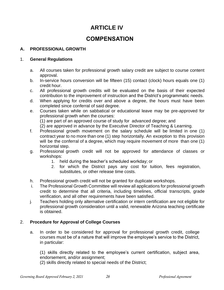# **ARTICLE IV**

# **COMPENSATION**

#### **A. PROFESSIONAL GROWTH**

#### 1. **General Regulations**

- a. All courses taken for professional growth salary credit are subject to course content approval.
- b. In-service hours conversion will be fifteen (15) contact (clock) hours equals one (1) credit hour.
- c. All professional growth credits will be evaluated on the basis of their expected contribution to the improvement of instruction and the District's programmatic needs.
- d. When applying for credits over and above a degree, the hours must have been completed since conferral of said degree.
- e. Courses taken while on sabbatical or educational leave may be pre-approved for professional growth when the courses:

(1) are part of an approved course of study for advanced degree; and

- (2) are approved in advance by the Executive Director of Teaching & Learning.
- f. Professional growth movement on the salary schedule will be limited in one (1) contract year to no more than one (1) step horizontally. An exception to this provision will be the conferral of a degree, which may require movement of more than one (1) horizontal step.
- g. Professional growth credit will not be approved for attendance of classes or workshops:
	- 1. held during the teacher's scheduled workday; or
	- 2. for which the District pays any cost for tuition, fees registration, substitutes, or other release time costs.
- h. Professional growth credit will not be granted for duplicate workshops.
- i. The Professional Growth Committee will review all applications for professional growth credit to determine that all criteria, including timelines, official transcripts, grade verification, and all other requirements have been satisfied.
- j. Teachers holding only alternative certification or intern certification are not eligible for professional growth consideration until a valid, renewable Arizona teaching certificate is obtained.

#### 2. **Procedure for Approval of College Courses**

a. In order to be considered for approval for professional growth credit, college courses must be of a nature that will improve the employee's service to the District, in particular:

(1) skills directly related to the employee's current certification, subject area, endorsement, and/or assignment;

(2) skills directly related to special needs of the District;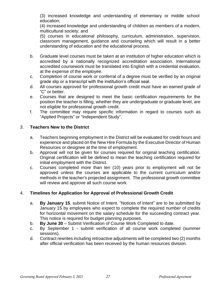(3) increased knowledge and understanding of elementary or middle school education;

(4) increased knowledge and understanding of children as members of a modern, multicultural society; and

(5) courses in educational philosophy, curriculum, administration, supervision, classroom management, guidance and counseling which will result in a better understanding of education and the educational process.

- b. Graduate level courses must be taken at an institution of higher education which is accredited by a nationally recognized accreditation association. International accredited coursework must be translated into English with a credential evaluation, at the expense of the employee.
- c. Completion of course work or conferral of a degree must be verified by an original grade slip or a transcript with the institution's official seal.
- d. All courses approved for professional growth credit must have an earned grade of "C" or better.
- e. Courses that are designed to meet the basic certification requirements for the position the teacher is filling, whether they are undergraduate or graduate level, are not eligible for professional growth credit.
- f. The committee may require specific information in regard to courses such as "Applied Projects" or "Independent Study".

#### 3. **Teachers New to the District**

- a. Teachers beginning employment in the District will be evaluated for credit hours and experience and placed on the New Hire Formula by the Executive Director of Human Resources or designee at the time of employment.
- b. Approval will not be given for courses required for original teaching certification. Original certification will be defined to mean the teaching certification required for initial employment with the District.
- c. Courses completed more than ten (10) years prior to employment will not be approved unless the courses are applicable to the current curriculum and/or methods in the teacher's projected assignment. The professional growth committee will review and approve all such course work.

# 4. **Timelines for Application for Approval of Professional Growth Credit**

- a. **By January 15**, submit Notice of Intent. "Notices of Intent" are to be submitted by January 15 by employees who expect to complete the required number of credits for horizontal movement on the salary schedule for the succeeding contract year. This notice is required for budget planning purposes.
- b. **By June 30** Submit Verification of Course Work Completed to date.
- c. By September 1 submit verification of all course work completed (summer sessions).
- d. Contract rewrites including retroactive adjustments will be completed two (2) months after official verification has been received by the human resources division.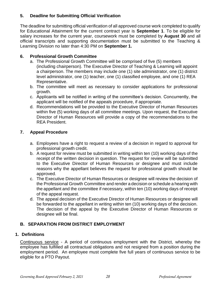# **5. Deadline for Submitting Official Verification**

The deadline for submitting official verification of all approved course work completed to qualify for Educational Attainment for the current contract year is **September 1**. To be eligible for salary increases for the current year, coursework must be completed by **August 30** and all official transcripts and supporting documentation must be submitted to the Teaching & Learning Division no later than 4:30 PM on **September 1.**

#### **6. Professional Growth Committee**

- a. The Professional Growth Committee will be comprised of five (5) members (including chairperson). The Executive Director of Teaching & Learning will appoint a chairperson. The members may include one (1) site administrator, one (1) district level administrator, one (1) teacher, one (1) classified employee, and one (1) REA Representative.
- b. The committee will meet as necessary to consider applications for professional growth.
- c. Applicants will be notified in writing of the committee's decision. Concurrently, the applicant will be notified of the appeals procedure, if appropriate.
- d. Recommendations will be provided to the Executive Director of Human Resources within five (5) working days of all committee meetings. Upon request, the Executive Director of Human Resources will provide a copy of the recommendations to the REA President.

#### **7. Appeal Procedure**

- a. Employees have a right to request a review of a decision in regard to approval for professional growth credit.
- b. A request for review must be submitted in writing within ten (10) working days of the receipt of the written decision in question. The request for review will be submitted to the Executive Director of Human Resources or designee and must include reasons why the appellant believes the request for professional growth should be approved.
- c. The Executive Director of Human Resources or designee will review the decision of the Professional Growth Committee and render a decision or schedule a hearing with the appellant and the committee if necessary, within ten (10) working days of receipt of the appeal request.
- d. The appeal decision of the Executive Director of Human Resources or designee will be forwarded to the appellant in writing within ten (10) working days of the decision. The decision of the appeal by the Executive Director of Human Resources or designee will be final.

# **B. SEPARATION FROM DISTRICT EMPLOYMENT**

#### **1. Definitions**

Continuous service - A period of continuous employment with the District, whereby the employee has fulfilled all contractual obligations and not resigned from a position during the employment period. An employee must complete five full years of continuous service to be eligible for a PTO Payout.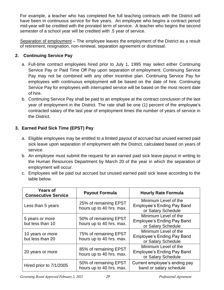For example, a teacher who has completed five full teaching contracts with the District will have been in continuous service for five years. An employee who begins a contract period mid-year will be credited with the prorated term of service. A teacher who begins the second semester of a school year will be credited with .5 year of service.

Separation of employment – The employee leaves the employment of the District as a result of retirement, resignation, non-renewal, separation agreement or dismissal.

# **2. Continuing Service Pay**

- a. Full-time contract employees hired prior to July 1, 1995 may select either Continuing Service Pay or Paid Time Off Pay upon separation of employment. Continuing Service Pay may not be combined with any other incentive plan. Continuing Service Pay for employees with continuous employment will be based on the date of hire. Continuing Service Pay for employees with interrupted service will be based on the most recent date of hire.
- b. Continuing Service Pay shall be paid to an employee at the contract conclusion of the last year of employment in the District. The rate shall be one (1) percent of the employee's contracted salary of the last year of employment times the number of years of service in the District.

# **3. Earned Paid Sick Time (EPST) Pay**

- a. Eligible employees may be entitled to a limited payout of accrued but unused earned paid sick leave upon separation of employment with the District, calculated based on years of service.
- b. An employee must submit the request for an earned paid sick leave payout in writing to the Human Resources Department by March 20 of the year in which the separation of employment will occur.
- c. Employees will be paid out accrued but unused earned paid sick leave according to the table below.

| <b>Years of</b><br><b>Consecutive Service</b> | <b>Payout Formula</b>                             | <b>Hourly Rate Formula</b>                                                      |
|-----------------------------------------------|---------------------------------------------------|---------------------------------------------------------------------------------|
| Less than 5 years                             | 25% of remaining EPST<br>hours up to 40 hrs. max. | Minimum Level of the<br><b>Employee's Ending Pay Band</b><br>or Salary Schedule |
| 5 years or more<br>but less than 10           | 50% of remaining EPST<br>hours up to 40 hrs. max. | Minimum Level of the<br><b>Employee's Ending Pay Band</b><br>or Salary Schedule |
| 10 years or more<br>but less than 20          | 75% of remaining EPST<br>hours up to 40 hrs. max. | Minimum Level of the<br><b>Employee's Ending Pay Band</b><br>or Salary Schedule |
| 20 years or more                              | 85% of remaining EPST<br>hours up to 40 hrs. max. | Minimum Level of the<br><b>Employee's Ending Pay Band</b><br>or Salary Schedule |
| Hired prior to 7/1/2005                       | 50% of remaining EPST<br>hours up to 40 hrs. max. | Current employee's ending pay<br>band or salary schedule                        |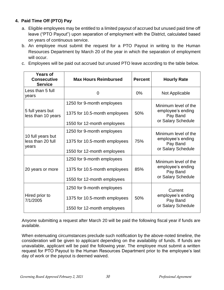# **4. Paid Time Off (PTO) Pay**

- a. Eligible employees may be entitled to a limited payout of accrued but unused paid time off leave ("PTO Payout") upon separation of employment with the District, calculated based on years of continuous service.
- b. An employee must submit the request for a PTO Payout in writing to the Human Resources Department by March 20 of the year in which the separation of employment will occur.
- c. Employees will be paid out accrued but unused PTO leave according to the table below.

| <b>Years of</b><br><b>Consecutive</b><br><b>Service</b> | <b>Max Hours Reimbursed</b>   | <b>Percent</b> | <b>Hourly Rate</b>            |
|---------------------------------------------------------|-------------------------------|----------------|-------------------------------|
| Less than 5 full<br>years                               | 0                             | $0\%$          | Not Applicable                |
|                                                         | 1250 for 9-month employees    |                | Minimum level of the          |
| 5 full years but<br>less than 10 years                  | 1375 for 10.5-month employees | 50%            | employee's ending<br>Pay Band |
|                                                         | 1550 for 12-month employees   |                | or Salary Schedule            |
|                                                         | 1250 for 9-month employees    |                | Minimum level of the          |
| 10 full years but<br>less than 20 full<br>years         | 1375 for 10.5-month employees | 75%            |                               |
|                                                         | 1550 for 12-month employees   |                | or Salary Schedule            |
|                                                         | 1250 for 9-month employees    |                | Minimum level of the          |
| 20 years or more                                        | 1375 for 10.5-month employees | 85%            | employee's ending<br>Pay Band |
|                                                         | 1550 for 12-month employees   |                | or Salary Schedule            |
|                                                         | 1250 for 9-month employees    |                | Current                       |
| Hired prior to<br>7/1/2005                              | 1375 for 10.5-month employees | 50%            | employee's ending<br>Pay Band |
|                                                         | 1550 for 12-month employees   |                | or Salary Schedule            |

Anyone submitting a request after March 20 will be paid the following fiscal year if funds are available.

When extenuating circumstances preclude such notification by the above-noted timeline, the consideration will be given to applicant depending on the availability of funds. If funds are unavailable, applicant will be paid the following year. The employee must submit a written request for PTO Payout to the Human Resources Department prior to the employee's last day of work or the payout is deemed waived.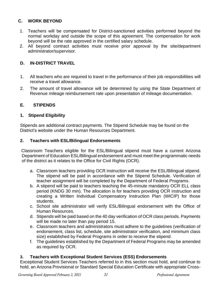# **C. WORK BEYOND**

- 1. Teachers will be compensated for District-sanctioned activities performed beyond the normal workday and outside the scope of this agreement. The compensation for work beyond will be the rate approved in the certified salary schedule.
- 2. All beyond contract activities must receive prior approval by the site/department administrator/supervisor.

# **D. IN-DISTRICT TRAVEL**

- 1. All teachers who are required to travel in the performance of their job responsibilities will receive a travel allowance.
- 2. The amount of travel allowance will be determined by using the State Department of Revenue mileage reimbursement rate upon presentation of mileage documentation.

#### **E. STIPENDS**

#### **1. Stipend Eligibility**

Stipends are additional contract payments. The Stipend Schedule may be found on the District's website under the Human Resources Department.

#### **2. Teachers with ESL/Bilingual Endorsements**

Classroom Teachers eligible for the ESL/Bilingual stipend must have a current Arizona Department of Education ESL/Bilingual endorsement and must meet the programmatic needs of the district as it relates to the Office for Civil Rights (OCR).

- a. Classroom teachers providing OCR instruction will receive the ESL/Bilingual stipend. The stipend will be paid in accordance with the Stipend Schedule. Verification of teacher assignment will be completed by the Department of Federal Programs.
- b. A stipend will be paid to teachers teaching the 45-minute mandatory OCR ELL class period (KNDG 30 min). The allocation is for teachers providing OCR instruction and creating a Written Individual Compensatory Instruction Plan (WICIP) for those students.
- c. School site administrator will verify ESL/Bilingual endorsement with the Office of Human Resources.
- d. Stipends will be paid based on the 40 day verification of OCR class periods. Payments will be made no later than pay period 15.
- e. Classroom teachers and administrators must adhere to the guidelines (verification of endorsement, class list, schedule, site administrator verification, and minimum class size) established by Federal Programs in order to receive the stipend.
- f. The guidelines established by the Department of Federal Programs may be amended as required by OCR.

# **3. Teachers with Exceptional Student Services (ESS) Endorsements**

Exceptional Student Services Teachers referred to in this section must hold, and continue to hold, an Arizona Provisional or Standard Special Education Certificate with appropriate Cross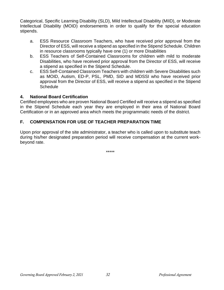Categorical, Specific Learning Disability (SLD), Mild Intellectual Disability (MIID), or Moderate Intellectual Disability (MOID) endorsements in order to qualify for the special education stipends.

- a. ESS Resource Classroom Teachers, who have received prior approval from the Director of ESS, will receive a stipend as specified in the Stipend Schedule. Children in resource classrooms typically have one (1) or more Disabilities
- b. ESS Teachers of Self-Contained Classrooms for children with mild to moderate Disabilities, who have received prior approval from the Director of ESS, will receive a stipend as specified in the Stipend Schedule.
- c. ESS Self-Contained Classroom Teachers with children with Severe Disabilities such as MOID, Autism, ED-P, PSL, PMD, SID and MDSSI who have received prior approval from the Director of ESS, will receive a stipend as specified in the Stipend **Schedule**

#### **4. National Board Certification**

Certified employees who are proven National Board Certified will receive a stipend as specified in the Stipend Schedule each year they are employed in their area of National Board Certification or in an approved area which meets the programmatic needs of the district.

# **F. COMPENSATION FOR USE OF TEACHER PREPARATION TIME**

Upon prior approval of the site administrator, a teacher who is called upon to substitute teach during his/her designated preparation period will receive compensation at the current workbeyond rate.

\*\*\*\*\*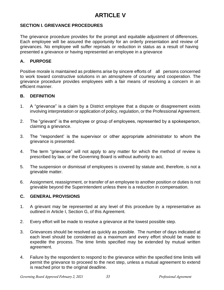# **ARTICLE V**

#### **SECTION I. GRIEVANCE PROCEDURES**

The grievance procedure provides for the prompt and equitable adjustment of differences. Each employee will be assured the opportunity for an orderly presentation and review of grievances. No employee will suffer reprisals or reduction in status as a result of having presented a grievance or having represented an employee in a grievance

#### **A. PURPOSE**

Positive morale is maintained as problems arise by sincere efforts of all persons concerned to work toward constructive solutions in an atmosphere of courtesy and cooperation. The grievance procedure provides employees with a fair means of resolving a concern in an efficient manner.

#### **B. DEFINITION**

- 1. A "grievance" is a claim by a District employee that a dispute or disagreement exists involving interpretation or application of policy, regulation, or the Professional Agreement.
- 2. The "grievant" is the employee or group of employees, represented by a spokesperson, claiming a grievance.
- 3. The "respondent' is the supervisor or other appropriate administrator to whom the grievance is presented.
- 4. The term "grievance" will not apply to any matter for which the method of review is prescribed by law, or the Governing Board is without authority to act.
- 5. The suspension or dismissal of employees is covered by statute and, therefore, is not a grievable matter.
- 6. Assignment, reassignment, or transfer of an employee to another position or duties is not grievable beyond the Superintendent unless there is a reduction in compensation.

#### **C. GENERAL PROVISIONS**

- 1. A grievant may be represented at any level of this procedure by a representative as outlined in Article I, Section G, of this Agreement.
- 2. Every effort will be made to resolve a grievance at the lowest possible step.
- 3. Grievances should be resolved as quickly as possible. The number of days indicated at each level should be considered as a maximum and every effort should be made to expedite the process. The time limits specified may be extended by mutual written agreement.
- 4. Failure by the respondent to respond to the grievance within the specified time limits will permit the grievance to proceed to the next step, unless a mutual agreement to extend is reached prior to the original deadline.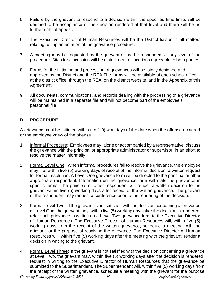- 5. Failure by the grievant to respond to a decision within the specified time limits will be deemed to be acceptance of the decision rendered at that level and there will be no further right of appeal.
- 6. The Executive Director of Human Resources will be the District liaison in all matters relating to implementation of the grievance procedure.
- 7. A meeting may be requested by the grievant or by the respondent at any level of the procedure. Sites for discussion will be district neutral locations agreeable to both parties.
- 8. Forms for the initiating and processing of grievances will be jointly designed and approved by the District and the REA The forms will be available at each school office, at the district office, through the REA, on the district website, and in the Appendix of this Agreement.
- 9. All documents, communications, and records dealing with the processing of a grievance will be maintained in a separate file and will not become part of the employee's personnel file.

#### **D. PROCEDURE**

A grievance must be initiated within ten (10) workdays of the date when the offense occurred or the employee knew of the offense.

- 1. Informal Procedure: Employees may, alone or accompanied by a representative, discuss the grievance with the principal or appropriate administrator or supervisor, in an effort to resolve the matter informally.
- 2. Formal Level One: When informal procedures fail to resolve the grievance, the employee may file, within five (5) working days of receipt of the informal decision, a written request for formal resolution. A Level One grievance form will be directed to the principal or other appropriate respondent. Information on the grievance form will state the grievance in specific terms. The principal or other respondent will render a written decision to the grievant within five (5) working days after receipt of the written grievance. The grievant or the respondent may request a conference prior to the rendering of the decision.
- 3. Formal Level Two: If the grievant is not satisfied with the decision concerning a grievance at Level One, the grievant may, within five (5) working days after the decision is rendered, refer such grievance in writing on a Level Two grievance form to the Executive Director of Human Resources. The Executive Director of Human Resources will, within five (5) working days from the receipt of the written grievance, schedule a meeting with the grievant for the purpose of resolving the grievance. The Executive Director of Human Resources will, within five (5) working days after the meeting with the grievant, render a decision in writing to the grievant.
- *Governing Board Approved February 2, 2021 34 Professional Agreement* 4. Formal Level Three: If the grievant is not satisfied with the decision concerning a grievance at Level Two, the grievant may, within five (5) working days after the decision is rendered, request in writing to the Executive Director of Human Resources that the grievance be submitted to the Superintendent. The Superintendent will, within five (5) working days from the receipt of the written grievance, schedule a meeting with the grievant for the purpose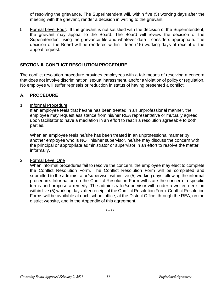of resolving the grievance. The Superintendent will, within five (5) working days after the meeting with the grievant, render a decision in writing to the grievant.

5. Formal Level Four: If the grievant is not satisfied with the decision of the Superintendent, the grievant may appeal to the Board. The Board will review the decision of the Superintendent using the grievance file and whatever data it considers appropriate. The decision of the Board will be rendered within fifteen (15) working days of receipt of the appeal request.

#### **SECTION II. CONFLICT RESOLUTION PROCEDURE**

The conflict resolution procedure provides employees with a fair means of resolving a concern that does not involve discrimination, sexual harassment, and/or a violation of policy or regulation. No employee will suffer reprisals or reduction in status of having presented a conflict.

#### **A. PROCEDURE**

#### 1. Informal Procedure

If an employee feels that he/she has been treated in an unprofessional manner, the employee may request assistance from his/her REA representative or mutually agreed upon facilitator to have a mediation in an effort to reach a resolution agreeable to both parties.

When an employee feels he/she has been treated in an unprofessional manner by another employee who is NOT his/her supervisor, he/she may discuss the concern with the principal or appropriate administrator or supervisor in an effort to resolve the matter informally.

#### 2. Formal Level One

When informal procedures fail to resolve the concern, the employee may elect to complete the Conflict Resolution Form. The Conflict Resolution Form will be completed and submitted to the administrator/supervisor within five (5) working days following the informal procedure. Information on the Conflict Resolution Form will state the concern in specific terms and propose a remedy. The administrator/supervisor will render a written decision within five (5) working days after receipt of the Conflict Resolution Form. Conflict Resolution Forms will be available at each school office, at the District Office, through the REA, on the district website, and in the Appendix of this agreement.

\*\*\*\*\*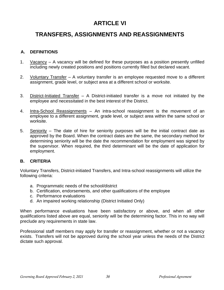# **ARTICLE VI**

# **TRANSFERS, ASSIGNMENTS AND REASSIGNMENTS**

#### **A. DEFINITIONS**

- 1. Vacancy A vacancy will be defined for these purposes as a position presently unfilled including newly created positions and positions currently filled but declared vacant.
- 2. Voluntary Transfer A voluntary transfer is an employee requested move to a different assignment, grade level, or subject area at a different school or worksite.
- 3. District-Initiated Transfer A District-initiated transfer is a move not initiated by the employee and necessitated in the best interest of the District.
- 4. Intra-School Reassignments An intra-school reassignment is the movement of an employee to a different assignment, grade level, or subject area within the same school or worksite.
- 5. Seniority The date of hire for seniority purposes will be the initial contract date as approved by the Board. When the contract dates are the same, the secondary method for determining seniority will be the date the recommendation for employment was signed by the supervisor. When required, the third determinant will be the date of application for employment.

#### **B. CRITERIA**

Voluntary Transfers, District-initiated Transfers, and Intra-school reassignments will utilize the following criteria:

- a. Programmatic needs of the school/district
- b. Certification, endorsements, and other qualifications of the employee
- c. Performance evaluations
- d. An impaired working relationship (District Initiated Only)

When performance evaluations have been satisfactory or above, and when all other qualifications listed above are equal, seniority will be the determining factor. This in no way will preclude any requirements in state law.

Professional staff members may apply for transfer or reassignment, whether or not a vacancy exists. Transfers will not be approved during the school year unless the needs of the District dictate such approval.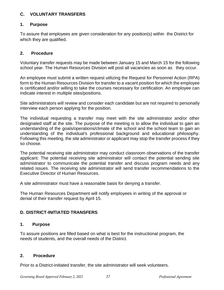#### **C. VOLUNTARY TRANSFERS**

#### **1. Purpose**

To assure that employees are given consideration for any position(s) within the District for which they are qualified.

#### **2. Procedure**

Voluntary transfer requests may be made between January 15 and March 15 for the following school year. The Human Resources Division will post all vacancies as soon as they occur.

An employee must submit a written request utilizing the Request for Personnel Action (RPA) form to the Human Resources Division for transfer to a vacant position for which the employee is certificated and/or willing to take the courses necessary for certification. An employee can indicate interest in multiple sites/positions.

Site administrators will review and consider each candidate but are not required to personally interview each person applying for the position.

The individual requesting a transfer may meet with the site administrator and/or other designated staff at the site. The purpose of the meeting is to allow the individual to gain an understanding of the goals/operations/climate of the school and the school team to gain an understanding of the individual's professional background and educational philosophy. Following this meeting, the site administrator or applicant may stop the transfer process if they so choose.

The potential receiving site administrator may conduct classroom observations of the transfer applicant. The potential receiving site administrator will contact the potential sending site administrator to communicate the potential transfer and discuss program needs and any related issues. The receiving site administrator will send transfer recommendations to the Executive Director of Human Resources.

A site administrator must have a reasonable basis for denying a transfer.

The Human Resources Department will notify employees in writing of the approval or denial of their transfer request by April 15.

# **D. DISTRICT-INITIATED TRANSFERS**

#### **1. Purpose**

To assure positions are filled based on what is best for the instructional program, the needs of students, and the overall needs of the District.

# **2. Procedure**

Prior to a District-initiated transfer, the site administrator will seek volunteers.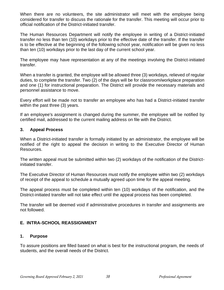When there are no volunteers, the site administrator will meet with the employee being considered for transfer to discuss the rationale for the transfer. This meeting will occur prior to official notification of the District-initiated transfer.

The Human Resources Department will notify the employee in writing of a District-initiated transfer no less than ten (10) workdays prior to the effective date of the transfer. If the transfer is to be effective at the beginning of the following school year, notification will be given no less than ten (10) workdays prior to the last day of the current school year.

The employee may have representation at any of the meetings involving the District-initiated transfer.

When a transfer is granted, the employee will be allowed three (3) workdays, relieved of regular duties, to complete the transfer. Two (2) of the days will be for classroom/workplace preparation and one (1) for instructional preparation. The District will provide the necessary materials and personnel assistance to move.

Every effort will be made not to transfer an employee who has had a District-initiated transfer within the past three (3) years.

If an employee's assignment is changed during the summer, the employee will be notified by certified mail, addressed to the current mailing address on file with the District.

#### **3. Appeal Process**

When a District-initiated transfer is formally initiated by an administrator, the employee will be notified of the right to appeal the decision in writing to the Executive Director of Human Resources.

The written appeal must be submitted within two (2) workdays of the notification of the Districtinitiated transfer.

The Executive Director of Human Resources must notify the employee within two (2) workdays of receipt of the appeal to schedule a mutually agreed upon time for the appeal meeting.

The appeal process must be completed within ten (10) workdays of the notification, and the District-initiated transfer will not take effect until the appeal process has been completed.

The transfer will be deemed void if administrative procedures in transfer and assignments are not followed.

#### **E. INTRA-SCHOOL REASSIGNMENT**

#### **1. Purpose**

To assure positions are filled based on what is best for the instructional program, the needs of students, and the overall needs of the District.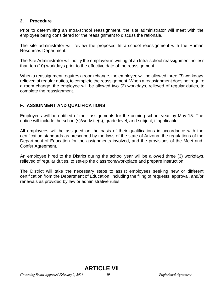#### **2. Procedure**

Prior to determining an Intra-school reassignment, the site administrator will meet with the employee being considered for the reassignment to discuss the rationale.

The site administrator will review the proposed Intra-school reassignment with the Human Resources Department.

The Site Administrator will notify the employee in writing of an Intra-school reassignment no less than ten (10) workdays prior to the effective date of the reassignment.

When a reassignment requires a room change, the employee will be allowed three (3) workdays, relieved of regular duties, to complete the reassignment. When a reassignment does not require a room change, the employee will be allowed two (2) workdays, relieved of regular duties, to complete the reassignment.

#### **F. ASSIGNMENT AND QUALIFICATIONS**

Employees will be notified of their assignments for the coming school year by May 15. The notice will include the school(s)/worksite(s), grade level, and subject, if applicable.

All employees will be assigned on the basis of their qualifications in accordance with the certification standards as prescribed by the laws of the state of Arizona, the regulations of the Department of Education for the assignments involved, and the provisions of the Meet-and-Confer Agreement.

An employee hired to the District during the school year will be allowed three (3) workdays, relieved of regular duties, to set-up the classroom/workplace and prepare instruction.

The District will take the necessary steps to assist employees seeking new or different certification from the Department of Education, including the filing of requests, approval, and/or renewals as provided by law or administrative rules.

**ARTICLE VII**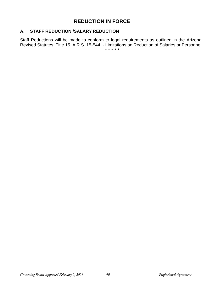# **REDUCTION IN FORCE**

#### **A. STAFF REDUCTION /SALARY REDUCTION**

Staff Reductions will be made to conform to legal requirements as outlined in the Arizona Revised Statutes, Title 15, A.R.S. 15-544. - Limitations on Reduction of Salaries or Personnel \* \* \* \* \*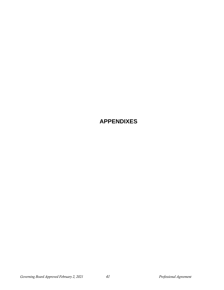**APPENDIXES**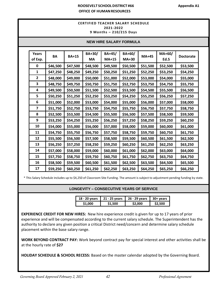#### **ROOSEVELT SCHOOL DISTRICT #66 Appendix A1 OFFICE OF HUMANRESOURCES**

#### **CERTIFIED TEACHER SALARY SCHEDULE 2021-2022 9 Months – 210/215 Days**

| BA+30/<br>BA+45/<br>BA+60/<br>Years<br>MA+60/<br>BA<br><b>BA+15</b><br><b>MA+45</b><br><b>Doctorate</b><br>of Exp.<br>Ed.S<br>МA<br><b>MA+15</b><br><b>MA+30</b><br>0<br>\$46,500<br>\$47,500<br>\$48,500<br>\$49,500<br>\$50,500<br>\$51,500<br>\$52,500<br>\$53,500<br>\$48,250<br>\$50,250<br>\$51,250<br>\$53,250<br>1<br>\$47,250<br>\$49,250<br>\$52,250<br>\$54,250<br>$\overline{2}$<br>\$48,000<br>\$49,000<br>\$50,000<br>\$51,000<br>\$52,000<br>\$53,000<br>\$54,000<br>\$55,000<br>3<br>\$48,750<br>\$49,750<br>\$50,750<br>\$51,750<br>\$52,750<br>\$53,750<br>\$54,750<br>\$55,750<br>\$49,500<br>\$54,500<br>4<br>\$50,500<br>\$51,500<br>\$52,500<br>\$53,500<br>\$55,500<br>\$56,500<br>5<br>\$54,250<br>\$50,250<br>\$51,250<br>\$52,250<br>\$53,250<br>\$55,250<br>\$56,250<br>\$57,250<br>6<br>\$51,000<br>\$52,000<br>\$53,000<br>\$54,000<br>\$55,000<br>\$56,000<br>\$57,000<br>\$58,000<br>7<br>\$51,750<br>\$52,750<br>\$53,750<br>\$54,750<br>\$55,750<br>\$56,750<br>\$57,750<br>\$58,750<br>8<br>\$52,500<br>\$55,500<br>\$56,500<br>\$58,500<br>\$53,500<br>\$54,500<br>\$57,500<br>\$59,500<br>9<br>\$53,250<br>\$54,250<br>\$57,250<br>\$58,250<br>\$55,250<br>\$56,250<br>\$59,250<br>\$60,250<br>10<br>\$54,000<br>\$55,000<br>\$56,000<br>\$57,000<br>\$58,000<br>\$59,000<br>\$60,000<br>\$61,000<br>11<br>\$54,750<br>\$55,750<br>\$56,750<br>\$57,750<br>\$58,750<br>\$59,750<br>\$60,750<br>\$61,750<br>12<br>\$55,500<br>\$58,500<br>\$59,500<br>\$60,500<br>\$56,500<br>\$57,500<br>\$61,500<br>\$62,500<br>13<br>\$56,250<br>\$60,250<br>\$61,250<br>\$57,250<br>\$58,250<br>\$59,250<br>\$62,250<br>\$63,250<br>14<br>\$57,000<br>\$58,000<br>\$59,000<br>\$60,000<br>\$61,000<br>\$62,000<br>\$63,000<br>\$64,000<br>15<br>\$57,750<br>\$58,750<br>\$59,750<br>\$60,750<br>\$61,750<br>\$62,750<br>\$63,750<br>\$64,750<br>16<br>\$58,500<br>\$60,500<br>\$61,500<br>\$62,500<br>\$63,500<br>\$64,500<br>\$59,500<br>\$65,500<br>17<br>\$59,250<br>\$60,250<br>\$65,250<br>\$61,250<br>\$62,250<br>\$63,250<br>\$64,250<br>\$66,250 | <b>NEW HIRE SALARY FORMULA</b> |  |  |  |  |  |  |  |
|---------------------------------------------------------------------------------------------------------------------------------------------------------------------------------------------------------------------------------------------------------------------------------------------------------------------------------------------------------------------------------------------------------------------------------------------------------------------------------------------------------------------------------------------------------------------------------------------------------------------------------------------------------------------------------------------------------------------------------------------------------------------------------------------------------------------------------------------------------------------------------------------------------------------------------------------------------------------------------------------------------------------------------------------------------------------------------------------------------------------------------------------------------------------------------------------------------------------------------------------------------------------------------------------------------------------------------------------------------------------------------------------------------------------------------------------------------------------------------------------------------------------------------------------------------------------------------------------------------------------------------------------------------------------------------------------------------------------------------------------------------------------------------------------------------------------------------------------------------------------------------------------------------------------------------------------------------------------------------------------------------------------------------------------------------------------------------|--------------------------------|--|--|--|--|--|--|--|
|                                                                                                                                                                                                                                                                                                                                                                                                                                                                                                                                                                                                                                                                                                                                                                                                                                                                                                                                                                                                                                                                                                                                                                                                                                                                                                                                                                                                                                                                                                                                                                                                                                                                                                                                                                                                                                                                                                                                                                                                                                                                                 |                                |  |  |  |  |  |  |  |
|                                                                                                                                                                                                                                                                                                                                                                                                                                                                                                                                                                                                                                                                                                                                                                                                                                                                                                                                                                                                                                                                                                                                                                                                                                                                                                                                                                                                                                                                                                                                                                                                                                                                                                                                                                                                                                                                                                                                                                                                                                                                                 |                                |  |  |  |  |  |  |  |
|                                                                                                                                                                                                                                                                                                                                                                                                                                                                                                                                                                                                                                                                                                                                                                                                                                                                                                                                                                                                                                                                                                                                                                                                                                                                                                                                                                                                                                                                                                                                                                                                                                                                                                                                                                                                                                                                                                                                                                                                                                                                                 |                                |  |  |  |  |  |  |  |
|                                                                                                                                                                                                                                                                                                                                                                                                                                                                                                                                                                                                                                                                                                                                                                                                                                                                                                                                                                                                                                                                                                                                                                                                                                                                                                                                                                                                                                                                                                                                                                                                                                                                                                                                                                                                                                                                                                                                                                                                                                                                                 |                                |  |  |  |  |  |  |  |
|                                                                                                                                                                                                                                                                                                                                                                                                                                                                                                                                                                                                                                                                                                                                                                                                                                                                                                                                                                                                                                                                                                                                                                                                                                                                                                                                                                                                                                                                                                                                                                                                                                                                                                                                                                                                                                                                                                                                                                                                                                                                                 |                                |  |  |  |  |  |  |  |
|                                                                                                                                                                                                                                                                                                                                                                                                                                                                                                                                                                                                                                                                                                                                                                                                                                                                                                                                                                                                                                                                                                                                                                                                                                                                                                                                                                                                                                                                                                                                                                                                                                                                                                                                                                                                                                                                                                                                                                                                                                                                                 |                                |  |  |  |  |  |  |  |
|                                                                                                                                                                                                                                                                                                                                                                                                                                                                                                                                                                                                                                                                                                                                                                                                                                                                                                                                                                                                                                                                                                                                                                                                                                                                                                                                                                                                                                                                                                                                                                                                                                                                                                                                                                                                                                                                                                                                                                                                                                                                                 |                                |  |  |  |  |  |  |  |
|                                                                                                                                                                                                                                                                                                                                                                                                                                                                                                                                                                                                                                                                                                                                                                                                                                                                                                                                                                                                                                                                                                                                                                                                                                                                                                                                                                                                                                                                                                                                                                                                                                                                                                                                                                                                                                                                                                                                                                                                                                                                                 |                                |  |  |  |  |  |  |  |
|                                                                                                                                                                                                                                                                                                                                                                                                                                                                                                                                                                                                                                                                                                                                                                                                                                                                                                                                                                                                                                                                                                                                                                                                                                                                                                                                                                                                                                                                                                                                                                                                                                                                                                                                                                                                                                                                                                                                                                                                                                                                                 |                                |  |  |  |  |  |  |  |
|                                                                                                                                                                                                                                                                                                                                                                                                                                                                                                                                                                                                                                                                                                                                                                                                                                                                                                                                                                                                                                                                                                                                                                                                                                                                                                                                                                                                                                                                                                                                                                                                                                                                                                                                                                                                                                                                                                                                                                                                                                                                                 |                                |  |  |  |  |  |  |  |
|                                                                                                                                                                                                                                                                                                                                                                                                                                                                                                                                                                                                                                                                                                                                                                                                                                                                                                                                                                                                                                                                                                                                                                                                                                                                                                                                                                                                                                                                                                                                                                                                                                                                                                                                                                                                                                                                                                                                                                                                                                                                                 |                                |  |  |  |  |  |  |  |
|                                                                                                                                                                                                                                                                                                                                                                                                                                                                                                                                                                                                                                                                                                                                                                                                                                                                                                                                                                                                                                                                                                                                                                                                                                                                                                                                                                                                                                                                                                                                                                                                                                                                                                                                                                                                                                                                                                                                                                                                                                                                                 |                                |  |  |  |  |  |  |  |
|                                                                                                                                                                                                                                                                                                                                                                                                                                                                                                                                                                                                                                                                                                                                                                                                                                                                                                                                                                                                                                                                                                                                                                                                                                                                                                                                                                                                                                                                                                                                                                                                                                                                                                                                                                                                                                                                                                                                                                                                                                                                                 |                                |  |  |  |  |  |  |  |
|                                                                                                                                                                                                                                                                                                                                                                                                                                                                                                                                                                                                                                                                                                                                                                                                                                                                                                                                                                                                                                                                                                                                                                                                                                                                                                                                                                                                                                                                                                                                                                                                                                                                                                                                                                                                                                                                                                                                                                                                                                                                                 |                                |  |  |  |  |  |  |  |
|                                                                                                                                                                                                                                                                                                                                                                                                                                                                                                                                                                                                                                                                                                                                                                                                                                                                                                                                                                                                                                                                                                                                                                                                                                                                                                                                                                                                                                                                                                                                                                                                                                                                                                                                                                                                                                                                                                                                                                                                                                                                                 |                                |  |  |  |  |  |  |  |
|                                                                                                                                                                                                                                                                                                                                                                                                                                                                                                                                                                                                                                                                                                                                                                                                                                                                                                                                                                                                                                                                                                                                                                                                                                                                                                                                                                                                                                                                                                                                                                                                                                                                                                                                                                                                                                                                                                                                                                                                                                                                                 |                                |  |  |  |  |  |  |  |
|                                                                                                                                                                                                                                                                                                                                                                                                                                                                                                                                                                                                                                                                                                                                                                                                                                                                                                                                                                                                                                                                                                                                                                                                                                                                                                                                                                                                                                                                                                                                                                                                                                                                                                                                                                                                                                                                                                                                                                                                                                                                                 |                                |  |  |  |  |  |  |  |
|                                                                                                                                                                                                                                                                                                                                                                                                                                                                                                                                                                                                                                                                                                                                                                                                                                                                                                                                                                                                                                                                                                                                                                                                                                                                                                                                                                                                                                                                                                                                                                                                                                                                                                                                                                                                                                                                                                                                                                                                                                                                                 |                                |  |  |  |  |  |  |  |
|                                                                                                                                                                                                                                                                                                                                                                                                                                                                                                                                                                                                                                                                                                                                                                                                                                                                                                                                                                                                                                                                                                                                                                                                                                                                                                                                                                                                                                                                                                                                                                                                                                                                                                                                                                                                                                                                                                                                                                                                                                                                                 |                                |  |  |  |  |  |  |  |
|                                                                                                                                                                                                                                                                                                                                                                                                                                                                                                                                                                                                                                                                                                                                                                                                                                                                                                                                                                                                                                                                                                                                                                                                                                                                                                                                                                                                                                                                                                                                                                                                                                                                                                                                                                                                                                                                                                                                                                                                                                                                                 |                                |  |  |  |  |  |  |  |

\* This Salary Schedule includes up to \$4,250 of Classroom Site Funding. The amount is subject to adjustment pending funding by state.

#### **LONGEVITY – CONSECUTIVE YEARS OF SERVICE**

| 18 - 20 vears | 21 - 25 vears | 26 - 29 vears | $30+$ years |
|---------------|---------------|---------------|-------------|
| \$1.000       | \$1.500       | \$2.000       | \$2.500     |

**EXPERIENCE CREDIT FOR NEW HIRES:** New hire experience credit is given for up to 17 years of prior experience and will be compensated according to the current salary schedule. The Superintendent has the authority to declare any given position a critical District need/concern and determine salary schedule placement within the base salary range.

**WORK BEYOND CONTRACT PAY:** Work beyond contract pay for special interest and other activities shall be at the hourly rate of **\$27**

**HOLIDAY SCHEDULE & SCHOOL RECESS:** Based on the master calendar adopted by the Governing Board.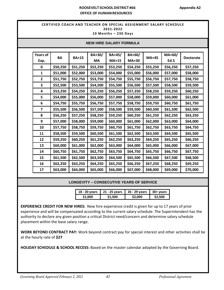#### **ROOSEVELT SCHOOL DISTRICT #66 Appendix A2 OFFICE OF HUMANRESOURCES**

#### **CERTIFIED COACH AND TEACHER ON SPECIAL ASSIGNMENT SALARY SCHEDULE Appendix A32021-2022 10 Months – 230 Days**

| <b>NEW HIRE SALARY FORMULA</b> |           |              |           |              |              |              |          |                  |
|--------------------------------|-----------|--------------|-----------|--------------|--------------|--------------|----------|------------------|
|                                |           |              |           |              |              |              |          |                  |
| <b>Years of</b>                | <b>BA</b> | <b>BA+15</b> | BA+30/    | BA+45/       | BA+60/       | <b>MA+45</b> | MA+60/   | <b>Doctorate</b> |
| Exp.                           |           |              | <b>MA</b> | <b>MA+15</b> | <b>MA+30</b> |              | Ed.S     |                  |
| 0                              | \$50,250  | \$51,250     | \$52,250  | \$53,250     | \$54,250     | \$55,250     | \$56,250 | \$57,250         |
| $\mathbf{1}$                   | \$51,000  | \$52,000     | \$53,000  | \$54,000     | \$55,000     | \$56,000     | \$57,000 | \$58,000         |
| $\overline{2}$                 | \$51,750  | \$52,750     | \$53,750  | \$54,750     | \$55,750     | \$56,750     | \$57,750 | \$58,750         |
| 3                              | \$52,500  | \$53,500     | \$54,500  | \$55,500     | \$56,500     | \$57,500     | \$58,500 | \$59,500         |
| 4                              | \$53,250  | \$54,250     | \$55,250  | \$56,250     | \$57,250     | \$58,250     | \$59,250 | \$60,250         |
| 5                              | \$54,000  | \$55,000     | \$56,000  | \$57,000     | \$58,000     | \$59,000     | \$60,000 | \$61,000         |
| 6                              | \$54,750  | \$55,750     | \$56,750  | \$57,750     | \$58,750     | \$59,750     | \$60,750 | \$61,750         |
| $\overline{\mathbf{z}}$        | \$55,500  | \$56,500     | \$57,500  | \$58,500     | \$59,500     | \$60,500     | \$61,500 | \$62,500         |
| 8                              | \$56,250  | \$57,250     | \$58,250  | \$59,250     | \$60,250     | \$61,250     | \$62,250 | \$63,250         |
| 9                              | \$57,000  | \$58,000     | \$59,000  | \$60,000     | \$61,000     | \$62,000     | \$63,000 | \$64,000         |
| 10                             | \$57,750  | \$58,750     | \$59,750  | \$60,750     | \$61,750     | \$62,750     | \$63,750 | \$64,750         |
| 11                             | \$58,500  | \$59,500     | \$60,500  | \$61,500     | \$62,500     | \$63,500     | \$64,500 | \$65,500         |
| 12                             | \$59,250  | \$60,250     | \$61,250  | \$62,250     | \$63,250     | \$64,250     | \$65,250 | \$66,250         |
| 13                             | \$60,000  | \$61,000     | \$62,000  | \$63,000     | \$64,000     | \$65,000     | \$66,000 | \$67,000         |
| 14                             | \$60,750  | \$61,750     | \$62,750  | \$63,750     | \$64,750     | \$65,750     | \$66,750 | \$67,750         |
| 15                             | \$61,500  | \$62,500     | \$63,500  | \$64,500     | \$65,500     | \$66,500     | \$67,500 | \$68,500         |
| 16                             | \$62,250  | \$63,250     | \$64,250  | \$65,250     | \$66,250     | \$67,250     | \$68,250 | \$69,250         |
| 17                             | \$63,000  | \$64,000     | \$65,000  | \$66,000     | \$67,000     | \$68,000     | \$69,000 | \$70,000         |

**LONGEVITY – CONSECUTIVE YEARS OF SERVICE**

| 18 - 20 years | $\vert$ 21 - 25 years | 26 - 29 years | $\vert$ 30+ vears |
|---------------|-----------------------|---------------|-------------------|
| \$1.000       | \$1.500               | \$2,000       | \$2.500           |

**EXPERIENCE CREDIT FOR NEW HIRES:** New hire experience credit is given for up to 17 years of prior experience and will be compensated according to the current salary schedule. The Superintendent has the authority to declare any given position a critical District need/concern and determine salary schedule placement within the base salary range.

**WORK BEYOND CONTRACT PAY:** Work beyond contract pay for special interest and other activities shall be at the hourly rate of **\$27**

**HOLIDAY SCHEDULE & SCHOOL RECESS:** Based on the master calendar adopted by the Governing Board.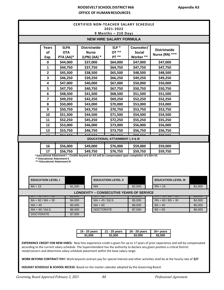#### **ROOSEVELT SCHOOL DISTRICT #66 OFFICE OF HUMANRESOURCES**

| <b>CERTIFIED NON-TEACHER SALARY SCHEDULE</b><br>2021-2022<br>$9$ Months $-210$ Days                                                                                                                                                                                                                                                                                  |                                                                                                                                  |                                        |                                                     |                                  |                                                 |                                          |                                       |         |                    |  |  |
|----------------------------------------------------------------------------------------------------------------------------------------------------------------------------------------------------------------------------------------------------------------------------------------------------------------------------------------------------------------------|----------------------------------------------------------------------------------------------------------------------------------|----------------------------------------|-----------------------------------------------------|----------------------------------|-------------------------------------------------|------------------------------------------|---------------------------------------|---------|--------------------|--|--|
| <b>NEW HIRE SALARY FORMULA</b>                                                                                                                                                                                                                                                                                                                                       |                                                                                                                                  |                                        |                                                     |                                  |                                                 |                                          |                                       |         |                    |  |  |
|                                                                                                                                                                                                                                                                                                                                                                      | Years<br>of<br>Exp.                                                                                                              | <b>SLPA</b><br><b>OTA</b><br>PTA (AA)* | <b>Districtwide</b><br><b>Nurse</b><br>(LPN) (AA) * |                                  | $SLP^*$<br>$OT**$<br><b>PT **</b>               | Counselor/<br><b>Social</b><br>Worker ** | <b>Districtwide</b><br>Nurse (RN) *** |         |                    |  |  |
|                                                                                                                                                                                                                                                                                                                                                                      | 0                                                                                                                                | \$44,000                               | \$37,000                                            |                                  | \$64,000                                        | \$47,000                                 | \$47,000                              |         |                    |  |  |
|                                                                                                                                                                                                                                                                                                                                                                      | 1<br>$\mathbf{2}$                                                                                                                | \$44,750<br>\$45,500                   | \$37,750<br>\$38,500                                |                                  | \$64,750<br>\$65,500                            | \$47,750<br>\$48,500                     | \$47,750<br>\$48,500                  |         |                    |  |  |
|                                                                                                                                                                                                                                                                                                                                                                      | 3                                                                                                                                | \$46,250                               | \$39,250                                            |                                  | \$66,250                                        | \$49,250                                 | \$49,250                              |         |                    |  |  |
|                                                                                                                                                                                                                                                                                                                                                                      | 4                                                                                                                                | \$47,000                               | \$40,000                                            |                                  | \$67,000                                        | \$50,000                                 | \$50,000                              |         |                    |  |  |
|                                                                                                                                                                                                                                                                                                                                                                      | 5<br>6                                                                                                                           | \$47,750<br>\$48,500                   | \$40,750<br>\$41,500                                |                                  | \$67,750<br>\$68,500                            | \$50,750<br>\$51,500                     | \$50,750<br>\$51,500                  |         |                    |  |  |
|                                                                                                                                                                                                                                                                                                                                                                      | 7                                                                                                                                | \$49,250                               | \$42,250                                            |                                  | \$69,250                                        | \$52,250                                 | \$52,250                              |         |                    |  |  |
|                                                                                                                                                                                                                                                                                                                                                                      | 8                                                                                                                                | \$50,000                               | \$43,000                                            |                                  | \$70,000                                        | \$53,000                                 | \$53,000                              |         |                    |  |  |
|                                                                                                                                                                                                                                                                                                                                                                      | 9<br>10                                                                                                                          | \$50,750<br>\$51,500                   | \$43,750<br>\$44,500                                |                                  | \$70,750<br>\$71,500                            | \$53,750<br>\$54,500                     | \$53,750<br>\$54,500                  |         |                    |  |  |
|                                                                                                                                                                                                                                                                                                                                                                      | 11                                                                                                                               | \$52,250                               | \$45,250                                            |                                  | \$72,250                                        | \$55,250                                 | \$55,250                              |         |                    |  |  |
|                                                                                                                                                                                                                                                                                                                                                                      | \$46,000<br>12<br>\$53,000                                                                                                       |                                        |                                                     | \$73,000<br>\$56,000<br>\$56,000 |                                                 |                                          |                                       |         |                    |  |  |
|                                                                                                                                                                                                                                                                                                                                                                      | 13                                                                                                                               | \$53,750                               | \$46,750                                            |                                  | \$73,750                                        | \$56,750                                 | \$56,750                              |         |                    |  |  |
| <b>EDUCATIONAL ATTAINMENT I, II &amp; III</b>                                                                                                                                                                                                                                                                                                                        |                                                                                                                                  |                                        |                                                     |                                  |                                                 |                                          |                                       |         |                    |  |  |
|                                                                                                                                                                                                                                                                                                                                                                      | 16                                                                                                                               | \$56,000                               | \$49,000                                            |                                  | \$76,000                                        | \$59,000                                 | \$59,000                              |         |                    |  |  |
|                                                                                                                                                                                                                                                                                                                                                                      | 17<br>\$56,750<br>* Educational Attainment I - Credits beyond an AA will be compensated upon completion of a BA+15.              |                                        | \$49,750                                            |                                  | \$76,750                                        | \$59,750                                 | \$59,750                              |         |                    |  |  |
| ** Educational Attainment II<br>*** Educational Attainment III                                                                                                                                                                                                                                                                                                       |                                                                                                                                  |                                        |                                                     |                                  |                                                 |                                          |                                       |         |                    |  |  |
|                                                                                                                                                                                                                                                                                                                                                                      | <b>EDUCATION LEVEL I</b>                                                                                                         |                                        | <b>EDUCATION LEVEL II</b>                           |                                  |                                                 | <b>EDUCATION LEVEL III</b>               |                                       |         |                    |  |  |
|                                                                                                                                                                                                                                                                                                                                                                      | $BA + 15$<br>\$1,000                                                                                                             |                                        |                                                     | <b>MA</b>                        |                                                 | \$2,000                                  | $RN + 15$<br>\$1,000                  |         |                    |  |  |
|                                                                                                                                                                                                                                                                                                                                                                      |                                                                                                                                  | ᢦᠣ,ᠸᠧᡆ                                 |                                                     |                                  | <b>LONGEVITY - CONSECUTIVE YEARS OF SERVICE</b> | Ψ¬,∪∪∪                                   |                                       |         | ᢦᠣ,ᠸᠣ              |  |  |
| $BA + 60 / MA + 30$<br>\$4,000                                                                                                                                                                                                                                                                                                                                       |                                                                                                                                  | MA + 45 / Ed.S.                        |                                                     |                                  | \$5,000                                         | $RN + 60 / BS + 30$<br>$BS + 45$         |                                       | \$4,000 |                    |  |  |
|                                                                                                                                                                                                                                                                                                                                                                      | $MA + 45$<br>\$5,000<br>$MA + 60 / Ed.S.$<br>\$6,000                                                                             |                                        | $MA + 60$<br><b>DOCTORATE</b>                       |                                  |                                                 | \$6,000<br>\$7,000                       | $BS + 60$                             |         | \$5,000<br>\$6,000 |  |  |
|                                                                                                                                                                                                                                                                                                                                                                      | <b>DOCTORATE</b><br>\$7,000                                                                                                      |                                        |                                                     |                                  |                                                 |                                          |                                       |         |                    |  |  |
| 18 - 20 years<br>21 - 25 years<br>26 - 29 years<br>$30 + years$                                                                                                                                                                                                                                                                                                      |                                                                                                                                  |                                        |                                                     |                                  |                                                 |                                          |                                       |         |                    |  |  |
|                                                                                                                                                                                                                                                                                                                                                                      |                                                                                                                                  |                                        |                                                     |                                  | \$1,500                                         | \$2,000                                  | \$2,500                               |         |                    |  |  |
| <b>EXPERIENCE CREDIT FOR NEW HIRES:</b> New hire experience credit is given for up to 17 years of prior experience and will be compensated<br>according to the current salary schedule. The Superintendent has the authority to declare any given position a critical District<br>need/concern and determine salary schedule placement within the base salary range. |                                                                                                                                  |                                        |                                                     |                                  |                                                 |                                          |                                       |         |                    |  |  |
|                                                                                                                                                                                                                                                                                                                                                                      | WORK BEYOND CONTRACT PAY: Work beyond contract pay for special interest and other activities shall be at the hourly rate of \$27 |                                        |                                                     |                                  |                                                 |                                          |                                       |         |                    |  |  |
| HOLIDAY SCHEDULE & SCHOOL RECESS: Based on the master calendar adopted by the Governing Board.                                                                                                                                                                                                                                                                       |                                                                                                                                  |                                        |                                                     |                                  |                                                 |                                          |                                       |         |                    |  |  |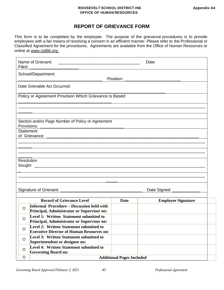#### **ROOSEVELT SCHOOL DISTRICT #66 Appendix A4 OFFICE OF HUMAN RESOURCES**

# **REPORT OF GRIEVANCE FORM**

This form is to be completed by the employee. The purpose of the grievance procedures is to provide employees with a fair means of resolving a concern in an efficient manner. Please refer to the Professional or Classified Agreement for the procedures. Agreements are available from the Office of Human Resources or online at www.rsd66.org.

| Name of Grievant:<br><u> 1989 - Johann John Stone, mars eta bat eta bat eta bat eta bat ez arteko erroman ez arteko harta eta bat ez </u> |                                  | Date                      |  |  |  |  |  |
|-------------------------------------------------------------------------------------------------------------------------------------------|----------------------------------|---------------------------|--|--|--|--|--|
| School/Department:<br>Position:                                                                                                           |                                  |                           |  |  |  |  |  |
| Date Grievable Act Occurred:                                                                                                              |                                  |                           |  |  |  |  |  |
| Policy or Agreement Provision Which Grievance is Based:                                                                                   |                                  |                           |  |  |  |  |  |
| Section and/or Page Number of Policy or Agreement                                                                                         |                                  |                           |  |  |  |  |  |
| Provisions:                                                                                                                               |                                  |                           |  |  |  |  |  |
| <b>Statement</b>                                                                                                                          |                                  |                           |  |  |  |  |  |
|                                                                                                                                           |                                  |                           |  |  |  |  |  |
|                                                                                                                                           |                                  |                           |  |  |  |  |  |
|                                                                                                                                           |                                  |                           |  |  |  |  |  |
|                                                                                                                                           |                                  |                           |  |  |  |  |  |
| Resolution                                                                                                                                |                                  |                           |  |  |  |  |  |
|                                                                                                                                           |                                  |                           |  |  |  |  |  |
|                                                                                                                                           |                                  |                           |  |  |  |  |  |
|                                                                                                                                           |                                  |                           |  |  |  |  |  |
| Date Signed: ___________                                                                                                                  |                                  |                           |  |  |  |  |  |
|                                                                                                                                           |                                  |                           |  |  |  |  |  |
| <b>Record of Grievance Level</b>                                                                                                          | <b>Date</b>                      | <b>Employee Signature</b> |  |  |  |  |  |
| <b>Informal Procedure – Discussion held with</b><br>$\Box$<br>Principal, Administrator or Supervisor on:                                  |                                  |                           |  |  |  |  |  |
| Level 1: Written Statement submitted to<br>□<br>Principal, Administrator or Supervisor on:                                                |                                  |                           |  |  |  |  |  |
| Level 2: Written Statement submitted to<br>$\Box$<br><b>Executive Director of Human Resources on:</b>                                     |                                  |                           |  |  |  |  |  |
| Level 3: Written Statement submitted to<br>$\Box$<br>Superintendent or designee on:                                                       |                                  |                           |  |  |  |  |  |
| Level 4: Written Statement submitted to<br>$\Box$<br><b>Governing Board on:</b>                                                           |                                  |                           |  |  |  |  |  |
| $\Box$                                                                                                                                    | <b>Additional Pages Included</b> |                           |  |  |  |  |  |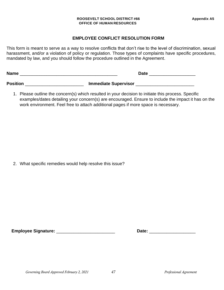#### **ROOSEVELT SCHOOL DISTRICT #66 Appendix A5 OFFICE OF HUMAN RESOURCES**

#### **EMPLOYEE CONFLICT RESOLUTION FORM**

This form is meant to serve as a way to resolve conflicts that don't rise to the level of discrimination, sexual harassment, and/or a violation of policy or regulation. Those types of complaints have specific procedures, mandated by law, and you should follow the procedure outlined in the Agreement.

| <b>Name</b>     | Date                        |  |  |  |  |
|-----------------|-----------------------------|--|--|--|--|
| <b>Position</b> | <b>Immediate Supervisor</b> |  |  |  |  |

1. Please outline the concern(s) which resulted in your decision to initiate this process. Specific

examples/dates detailing your concern(s) are encouraged. Ensure to include the impact it has on the work environment. Feel free to attach additional pages if more space is necessary.

2. What specific remedies would help resolve this issue?

**Employee Signature:** \_\_\_\_\_\_\_\_\_\_\_\_\_\_\_\_\_\_\_\_\_\_\_\_ **Date:** \_\_\_\_\_\_\_\_\_\_\_\_\_\_\_\_\_\_\_